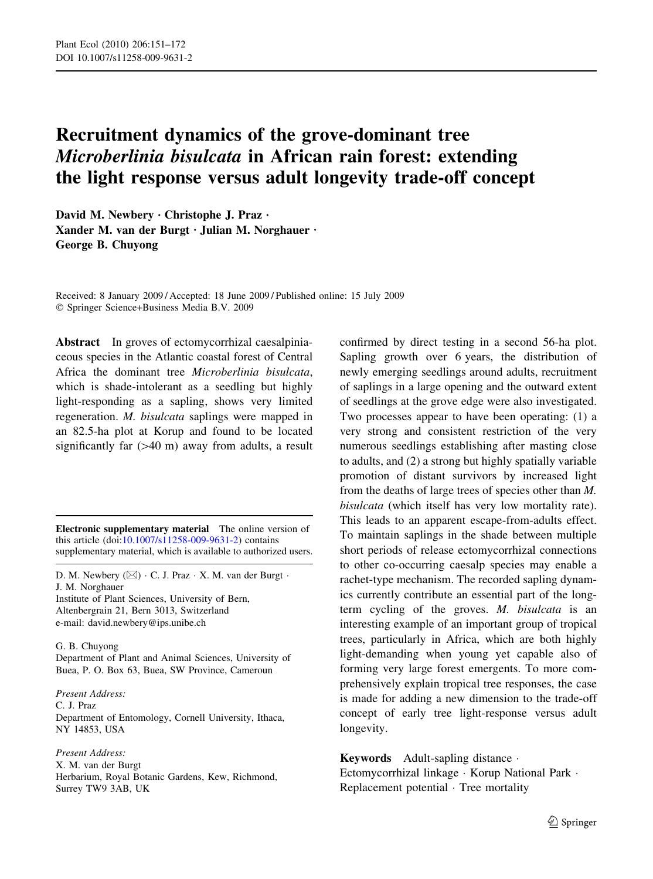# Recruitment dynamics of the grove-dominant tree Microberlinia bisulcata in African rain forest: extending the light response versus adult longevity trade-off concept

David M. Newbery · Christophe J. Praz · Xander M. van der Burgt  $\cdot$  Julian M. Norghauer  $\cdot$ George B. Chuyong

Received: 8 January 2009 / Accepted: 18 June 2009 / Published online: 15 July 2009 Springer Science+Business Media B.V. 2009

Abstract In groves of ectomycorrhizal caesalpiniaceous species in the Atlantic coastal forest of Central Africa the dominant tree Microberlinia bisulcata, which is shade-intolerant as a seedling but highly light-responding as a sapling, shows very limited regeneration. M. bisulcata saplings were mapped in an 82.5-ha plot at Korup and found to be located significantly far  $(>40 \text{ m})$  away from adults, a result

Electronic supplementary material The online version of this article (doi[:10.1007/s11258-009-9631-2\)](http://dx.doi.org/10.1007/s11258-009-9631-2) contains supplementary material, which is available to authorized users.

D. M. Newbery  $(\boxtimes) \cdot C$ . J. Praz  $\cdot X$ . M. van der Burgt  $\cdot$ J. M. Norghauer Institute of Plant Sciences, University of Bern, Altenbergrain 21, Bern 3013, Switzerland e-mail: david.newbery@ips.unibe.ch

G. B. Chuyong

Department of Plant and Animal Sciences, University of Buea, P. O. Box 63, Buea, SW Province, Cameroun

Present Address: C. J. Praz Department of Entomology, Cornell University, Ithaca, NY 14853, USA

Present Address: X. M. van der Burgt Herbarium, Royal Botanic Gardens, Kew, Richmond, Surrey TW9 3AB, UK

confirmed by direct testing in a second 56-ha plot. Sapling growth over 6 years, the distribution of newly emerging seedlings around adults, recruitment of saplings in a large opening and the outward extent of seedlings at the grove edge were also investigated. Two processes appear to have been operating: (1) a very strong and consistent restriction of the very numerous seedlings establishing after masting close to adults, and (2) a strong but highly spatially variable promotion of distant survivors by increased light from the deaths of large trees of species other than M. bisulcata (which itself has very low mortality rate). This leads to an apparent escape-from-adults effect. To maintain saplings in the shade between multiple short periods of release ectomycorrhizal connections to other co-occurring caesalp species may enable a rachet-type mechanism. The recorded sapling dynamics currently contribute an essential part of the longterm cycling of the groves. M. bisulcata is an interesting example of an important group of tropical trees, particularly in Africa, which are both highly light-demanding when young yet capable also of forming very large forest emergents. To more comprehensively explain tropical tree responses, the case is made for adding a new dimension to the trade-off concept of early tree light-response versus adult longevity.

Keywords Adult-sapling distance . Ectomycorrhizal linkage · Korup National Park · Replacement potential  $\cdot$  Tree mortality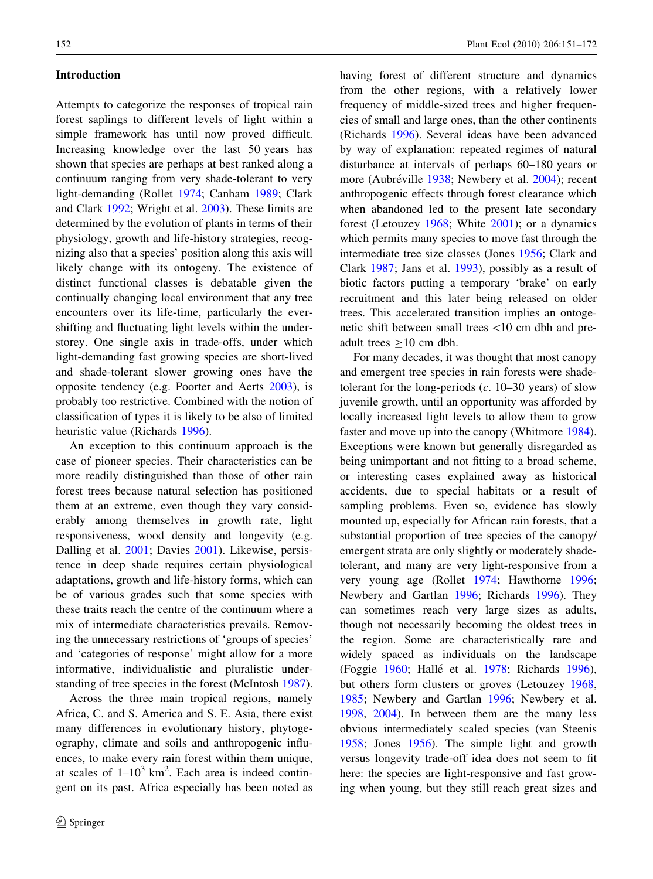# Introduction

Attempts to categorize the responses of tropical rain forest saplings to different levels of light within a simple framework has until now proved difficult. Increasing knowledge over the last 50 years has shown that species are perhaps at best ranked along a continuum ranging from very shade-tolerant to very light-demanding (Rollet [1974;](#page-21-0) Canham [1989](#page-19-0); Clark and Clark [1992](#page-19-0); Wright et al. [2003\)](#page-21-0). These limits are determined by the evolution of plants in terms of their physiology, growth and life-history strategies, recognizing also that a species' position along this axis will likely change with its ontogeny. The existence of distinct functional classes is debatable given the continually changing local environment that any tree encounters over its life-time, particularly the evershifting and fluctuating light levels within the understorey. One single axis in trade-offs, under which light-demanding fast growing species are short-lived and shade-tolerant slower growing ones have the opposite tendency (e.g. Poorter and Aerts [2003](#page-21-0)), is probably too restrictive. Combined with the notion of classification of types it is likely to be also of limited heuristic value (Richards [1996\)](#page-21-0).

An exception to this continuum approach is the case of pioneer species. Their characteristics can be more readily distinguished than those of other rain forest trees because natural selection has positioned them at an extreme, even though they vary considerably among themselves in growth rate, light responsiveness, wood density and longevity (e.g. Dalling et al. [2001](#page-20-0); Davies [2001](#page-20-0)). Likewise, persistence in deep shade requires certain physiological adaptations, growth and life-history forms, which can be of various grades such that some species with these traits reach the centre of the continuum where a mix of intermediate characteristics prevails. Removing the unnecessary restrictions of 'groups of species' and 'categories of response' might allow for a more informative, individualistic and pluralistic understanding of tree species in the forest (McIntosh [1987](#page-20-0)).

Across the three main tropical regions, namely Africa, C. and S. America and S. E. Asia, there exist many differences in evolutionary history, phytogeography, climate and soils and anthropogenic influences, to make every rain forest within them unique, at scales of  $1-10^3$  km<sup>2</sup>. Each area is indeed contingent on its past. Africa especially has been noted as having forest of different structure and dynamics from the other regions, with a relatively lower frequency of middle-sized trees and higher frequencies of small and large ones, than the other continents (Richards [1996\)](#page-21-0). Several ideas have been advanced by way of explanation: repeated regimes of natural disturbance at intervals of perhaps 60–180 years or more (Aubréville [1938;](#page-19-0) Newbery et al. [2004\)](#page-20-0); recent anthropogenic effects through forest clearance which when abandoned led to the present late secondary forest (Letouzey [1968](#page-20-0); White [2001](#page-21-0)); or a dynamics which permits many species to move fast through the intermediate tree size classes (Jones [1956;](#page-20-0) Clark and Clark [1987](#page-19-0); Jans et al. [1993\)](#page-20-0), possibly as a result of biotic factors putting a temporary 'brake' on early recruitment and this later being released on older trees. This accelerated transition implies an ontogenetic shift between small trees \10 cm dbh and preadult trees  $\geq$ 10 cm dbh.

For many decades, it was thought that most canopy and emergent tree species in rain forests were shadetolerant for the long-periods  $(c. 10-30$  years) of slow juvenile growth, until an opportunity was afforded by locally increased light levels to allow them to grow faster and move up into the canopy (Whitmore [1984](#page-21-0)). Exceptions were known but generally disregarded as being unimportant and not fitting to a broad scheme, or interesting cases explained away as historical accidents, due to special habitats or a result of sampling problems. Even so, evidence has slowly mounted up, especially for African rain forests, that a substantial proportion of tree species of the canopy/ emergent strata are only slightly or moderately shadetolerant, and many are very light-responsive from a very young age (Rollet [1974;](#page-21-0) Hawthorne [1996](#page-20-0); Newbery and Gartlan [1996;](#page-20-0) Richards [1996\)](#page-21-0). They can sometimes reach very large sizes as adults, though not necessarily becoming the oldest trees in the region. Some are characteristically rare and widely spaced as individuals on the landscape (Foggie [1960](#page-20-0); Hallé et al. [1978](#page-20-0); Richards [1996](#page-21-0)), but others form clusters or groves (Letouzey [1968,](#page-20-0) [1985;](#page-20-0) Newbery and Gartlan [1996;](#page-20-0) Newbery et al. [1998,](#page-20-0) [2004\)](#page-20-0). In between them are the many less obvious intermediately scaled species (van Steenis [1958;](#page-21-0) Jones [1956\)](#page-20-0). The simple light and growth versus longevity trade-off idea does not seem to fit here: the species are light-responsive and fast growing when young, but they still reach great sizes and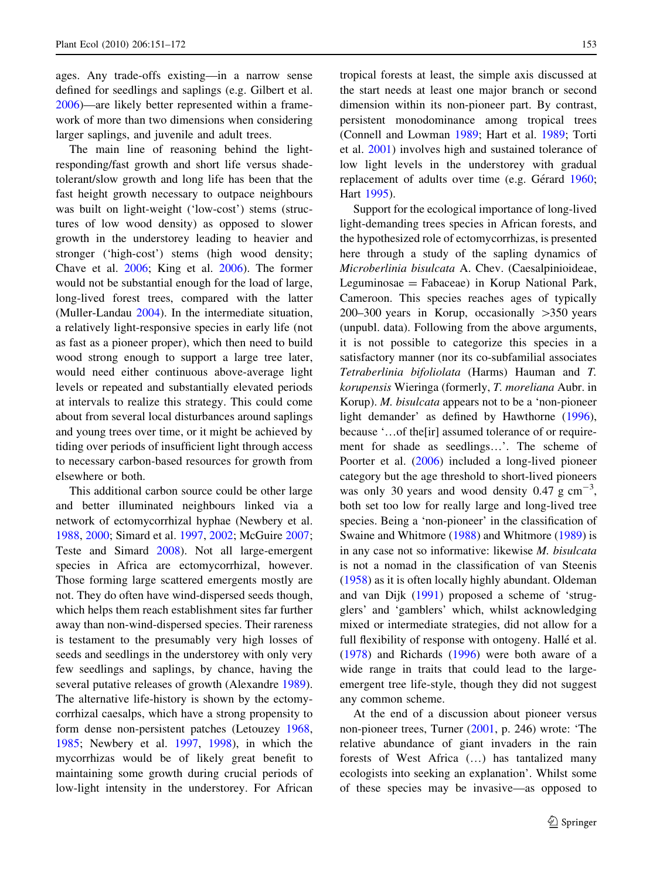ages. Any trade-offs existing—in a narrow sense defined for seedlings and saplings (e.g. Gilbert et al. [2006\)](#page-20-0)—are likely better represented within a framework of more than two dimensions when considering larger saplings, and juvenile and adult trees.

The main line of reasoning behind the lightresponding/fast growth and short life versus shadetolerant/slow growth and long life has been that the fast height growth necessary to outpace neighbours was built on light-weight ('low-cost') stems (structures of low wood density) as opposed to slower growth in the understorey leading to heavier and stronger ('high-cost') stems (high wood density; Chave et al. [2006](#page-19-0); King et al. [2006\)](#page-20-0). The former would not be substantial enough for the load of large, long-lived forest trees, compared with the latter (Muller-Landau [2004](#page-20-0)). In the intermediate situation, a relatively light-responsive species in early life (not as fast as a pioneer proper), which then need to build wood strong enough to support a large tree later, would need either continuous above-average light levels or repeated and substantially elevated periods at intervals to realize this strategy. This could come about from several local disturbances around saplings and young trees over time, or it might be achieved by tiding over periods of insufficient light through access to necessary carbon-based resources for growth from elsewhere or both.

This additional carbon source could be other large and better illuminated neighbours linked via a network of ectomycorrhizal hyphae (Newbery et al. [1988,](#page-20-0) [2000;](#page-20-0) Simard et al. [1997,](#page-21-0) [2002;](#page-21-0) McGuire [2007](#page-20-0); Teste and Simard [2008](#page-21-0)). Not all large-emergent species in Africa are ectomycorrhizal, however. Those forming large scattered emergents mostly are not. They do often have wind-dispersed seeds though, which helps them reach establishment sites far further away than non-wind-dispersed species. Their rareness is testament to the presumably very high losses of seeds and seedlings in the understorey with only very few seedlings and saplings, by chance, having the several putative releases of growth (Alexandre [1989](#page-19-0)). The alternative life-history is shown by the ectomycorrhizal caesalps, which have a strong propensity to form dense non-persistent patches (Letouzey [1968,](#page-20-0) [1985;](#page-20-0) Newbery et al. [1997](#page-20-0), [1998\)](#page-20-0), in which the mycorrhizas would be of likely great benefit to maintaining some growth during crucial periods of low-light intensity in the understorey. For African

tropical forests at least, the simple axis discussed at the start needs at least one major branch or second dimension within its non-pioneer part. By contrast, persistent monodominance among tropical trees (Connell and Lowman [1989](#page-19-0); Hart et al. [1989;](#page-20-0) Torti et al. [2001\)](#page-21-0) involves high and sustained tolerance of low light levels in the understorey with gradual replacement of adults over time (e.g. Gérard [1960](#page-20-0); Hart [1995\)](#page-20-0).

Support for the ecological importance of long-lived light-demanding trees species in African forests, and the hypothesized role of ectomycorrhizas, is presented here through a study of the sapling dynamics of Microberlinia bisulcata A. Chev. (Caesalpinioideae,  $Legendre{Legumino}$ sae = Fabaceae) in Korup National Park, Cameroon. This species reaches ages of typically 200–300 years in Korup, occasionally  $>350$  years (unpubl. data). Following from the above arguments, it is not possible to categorize this species in a satisfactory manner (nor its co-subfamilial associates Tetraberlinia bifoliolata (Harms) Hauman and T. korupensis Wieringa (formerly, T. moreliana Aubr. in Korup). M. bisulcata appears not to be a 'non-pioneer light demander' as defined by Hawthorne ([1996](#page-20-0)), because '…of the[ir] assumed tolerance of or requirement for shade as seedlings…'. The scheme of Poorter et al. [\(2006](#page-21-0)) included a long-lived pioneer category but the age threshold to short-lived pioneers was only 30 years and wood density  $0.47 \text{ g cm}^{-3}$ , both set too low for really large and long-lived tree species. Being a 'non-pioneer' in the classification of Swaine and Whitmore ([1988\)](#page-21-0) and Whitmore [\(1989](#page-21-0)) is in any case not so informative: likewise M. bisulcata is not a nomad in the classification of van Steenis [\(1958](#page-21-0)) as it is often locally highly abundant. Oldeman and van Dijk [\(1991](#page-21-0)) proposed a scheme of 'strugglers' and 'gamblers' which, whilst acknowledging mixed or intermediate strategies, did not allow for a full flexibility of response with ontogeny. Hallé et al. [\(1978](#page-20-0)) and Richards [\(1996](#page-21-0)) were both aware of a wide range in traits that could lead to the largeemergent tree life-style, though they did not suggest any common scheme.

At the end of a discussion about pioneer versus non-pioneer trees, Turner ([2001,](#page-21-0) p. 246) wrote: 'The relative abundance of giant invaders in the rain forests of West Africa (…) has tantalized many ecologists into seeking an explanation'. Whilst some of these species may be invasive—as opposed to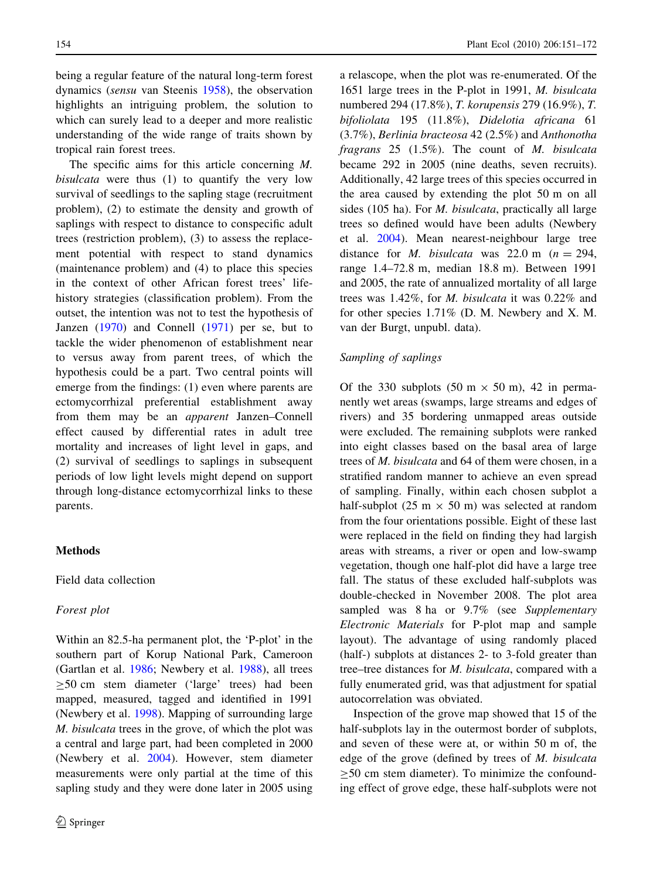being a regular feature of the natural long-term forest dynamics (sensu van Steenis [1958\)](#page-21-0), the observation highlights an intriguing problem, the solution to which can surely lead to a deeper and more realistic understanding of the wide range of traits shown by tropical rain forest trees.

The specific aims for this article concerning M. bisulcata were thus (1) to quantify the very low survival of seedlings to the sapling stage (recruitment problem), (2) to estimate the density and growth of saplings with respect to distance to conspecific adult trees (restriction problem), (3) to assess the replacement potential with respect to stand dynamics (maintenance problem) and (4) to place this species in the context of other African forest trees' lifehistory strategies (classification problem). From the outset, the intention was not to test the hypothesis of Janzen ([1970\)](#page-20-0) and Connell [\(1971](#page-19-0)) per se, but to tackle the wider phenomenon of establishment near to versus away from parent trees, of which the hypothesis could be a part. Two central points will emerge from the findings: (1) even where parents are ectomycorrhizal preferential establishment away from them may be an apparent Janzen–Connell effect caused by differential rates in adult tree mortality and increases of light level in gaps, and (2) survival of seedlings to saplings in subsequent periods of low light levels might depend on support through long-distance ectomycorrhizal links to these parents.

#### Methods

Field data collection

## Forest plot

Within an 82.5-ha permanent plot, the 'P-plot' in the southern part of Korup National Park, Cameroon (Gartlan et al. [1986](#page-20-0); Newbery et al. [1988\)](#page-20-0), all trees  $\geq$ 50 cm stem diameter ('large' trees) had been mapped, measured, tagged and identified in 1991 (Newbery et al. [1998](#page-20-0)). Mapping of surrounding large M. bisulcata trees in the grove, of which the plot was a central and large part, had been completed in 2000 (Newbery et al. [2004](#page-20-0)). However, stem diameter measurements were only partial at the time of this sapling study and they were done later in 2005 using a relascope, when the plot was re-enumerated. Of the 1651 large trees in the P-plot in 1991, M. bisulcata numbered 294 (17.8%), T. korupensis 279 (16.9%), T. bifoliolata 195 (11.8%), Didelotia africana 61 (3.7%), Berlinia bracteosa 42 (2.5%) and Anthonotha fragrans 25 (1.5%). The count of M. bisulcata became 292 in 2005 (nine deaths, seven recruits). Additionally, 42 large trees of this species occurred in the area caused by extending the plot 50 m on all sides (105 ha). For *M. bisulcata*, practically all large trees so defined would have been adults (Newbery et al. [2004](#page-20-0)). Mean nearest-neighbour large tree distance for *M. bisulcata* was 22.0 m  $(n = 294,$ range 1.4–72.8 m, median 18.8 m). Between 1991 and 2005, the rate of annualized mortality of all large trees was 1.42%, for M. bisulcata it was 0.22% and for other species 1.71% (D. M. Newbery and X. M. van der Burgt, unpubl. data).

# Sampling of saplings

Of the 330 subplots  $(50 \text{ m} \times 50 \text{ m})$ , 42 in permanently wet areas (swamps, large streams and edges of rivers) and 35 bordering unmapped areas outside were excluded. The remaining subplots were ranked into eight classes based on the basal area of large trees of M. bisulcata and 64 of them were chosen, in a stratified random manner to achieve an even spread of sampling. Finally, within each chosen subplot a half-subplot (25 m  $\times$  50 m) was selected at random from the four orientations possible. Eight of these last were replaced in the field on finding they had largish areas with streams, a river or open and low-swamp vegetation, though one half-plot did have a large tree fall. The status of these excluded half-subplots was double-checked in November 2008. The plot area sampled was 8 ha or 9.7% (see Supplementary Electronic Materials for P-plot map and sample layout). The advantage of using randomly placed (half-) subplots at distances 2- to 3-fold greater than tree–tree distances for M. bisulcata, compared with a fully enumerated grid, was that adjustment for spatial autocorrelation was obviated.

Inspection of the grove map showed that 15 of the half-subplots lay in the outermost border of subplots, and seven of these were at, or within 50 m of, the edge of the grove (defined by trees of M. bisulcata  $\geq$ 50 cm stem diameter). To minimize the confounding effect of grove edge, these half-subplots were not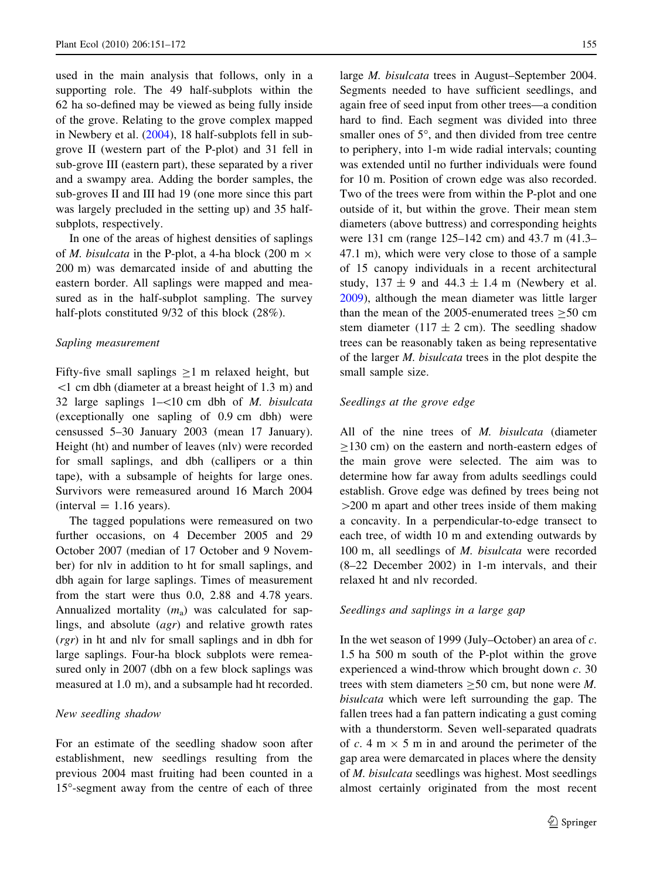used in the main analysis that follows, only in a supporting role. The 49 half-subplots within the 62 ha so-defined may be viewed as being fully inside of the grove. Relating to the grove complex mapped in Newbery et al. [\(2004](#page-20-0)), 18 half-subplots fell in subgrove II (western part of the P-plot) and 31 fell in sub-grove III (eastern part), these separated by a river and a swampy area. Adding the border samples, the sub-groves II and III had 19 (one more since this part was largely precluded in the setting up) and 35 halfsubplots, respectively.

In one of the areas of highest densities of saplings of *M. bisulcata* in the P-plot, a 4-ha block (200 m  $\times$ 200 m) was demarcated inside of and abutting the eastern border. All saplings were mapped and measured as in the half-subplot sampling. The survey half-plots constituted 9/32 of this block (28%).

## Sapling measurement

Fifty-five small saplings  $\geq 1$  m relaxed height, but  $\leq$ 1 cm dbh (diameter at a breast height of 1.3 m) and 32 large saplings  $1 - 10$  cm dbh of *M. bisulcata* (exceptionally one sapling of 0.9 cm dbh) were censussed 5–30 January 2003 (mean 17 January). Height (ht) and number of leaves (nlv) were recorded for small saplings, and dbh (callipers or a thin tape), with a subsample of heights for large ones. Survivors were remeasured around 16 March 2004  $(interval = 1.16 \text{ years}).$ 

The tagged populations were remeasured on two further occasions, on 4 December 2005 and 29 October 2007 (median of 17 October and 9 November) for nlv in addition to ht for small saplings, and dbh again for large saplings. Times of measurement from the start were thus 0.0, 2.88 and 4.78 years. Annualized mortality  $(m<sub>a</sub>)$  was calculated for saplings, and absolute (agr) and relative growth rates (rgr) in ht and nlv for small saplings and in dbh for large saplings. Four-ha block subplots were remeasured only in 2007 (dbh on a few block saplings was measured at 1.0 m), and a subsample had ht recorded.

## New seedling shadow

For an estimate of the seedling shadow soon after establishment, new seedlings resulting from the previous 2004 mast fruiting had been counted in a 15°-segment away from the centre of each of three

large M. bisulcata trees in August–September 2004. Segments needed to have sufficient seedlings, and again free of seed input from other trees—a condition hard to find. Each segment was divided into three smaller ones of  $5^\circ$ , and then divided from tree centre to periphery, into 1-m wide radial intervals; counting was extended until no further individuals were found for 10 m. Position of crown edge was also recorded. Two of the trees were from within the P-plot and one outside of it, but within the grove. Their mean stem diameters (above buttress) and corresponding heights were 131 cm (range 125–142 cm) and 43.7 m (41.3– 47.1 m), which were very close to those of a sample of 15 canopy individuals in a recent architectural study,  $137 \pm 9$  and  $44.3 \pm 1.4$  m (Newbery et al. [2009\)](#page-21-0), although the mean diameter was little larger than the mean of the 2005-enumerated trees  $\geq$ 50 cm stem diameter (117  $\pm$  2 cm). The seedling shadow trees can be reasonably taken as being representative of the larger M. bisulcata trees in the plot despite the small sample size.

## Seedlings at the grove edge

All of the nine trees of M. bisulcata (diameter  $\geq$ 130 cm) on the eastern and north-eastern edges of the main grove were selected. The aim was to determine how far away from adults seedlings could establish. Grove edge was defined by trees being not  $>200$  m apart and other trees inside of them making a concavity. In a perpendicular-to-edge transect to each tree, of width 10 m and extending outwards by 100 m, all seedlings of *M. bisulcata* were recorded (8–22 December 2002) in 1-m intervals, and their relaxed ht and nlv recorded.

## Seedlings and saplings in a large gap

In the wet season of 1999 (July–October) an area of  $c$ . 1.5 ha 500 m south of the P-plot within the grove experienced a wind-throw which brought down c. 30 trees with stem diameters  $> 50$  cm, but none were M. bisulcata which were left surrounding the gap. The fallen trees had a fan pattern indicating a gust coming with a thunderstorm. Seven well-separated quadrats of c. 4 m  $\times$  5 m in and around the perimeter of the gap area were demarcated in places where the density of M. bisulcata seedlings was highest. Most seedlings almost certainly originated from the most recent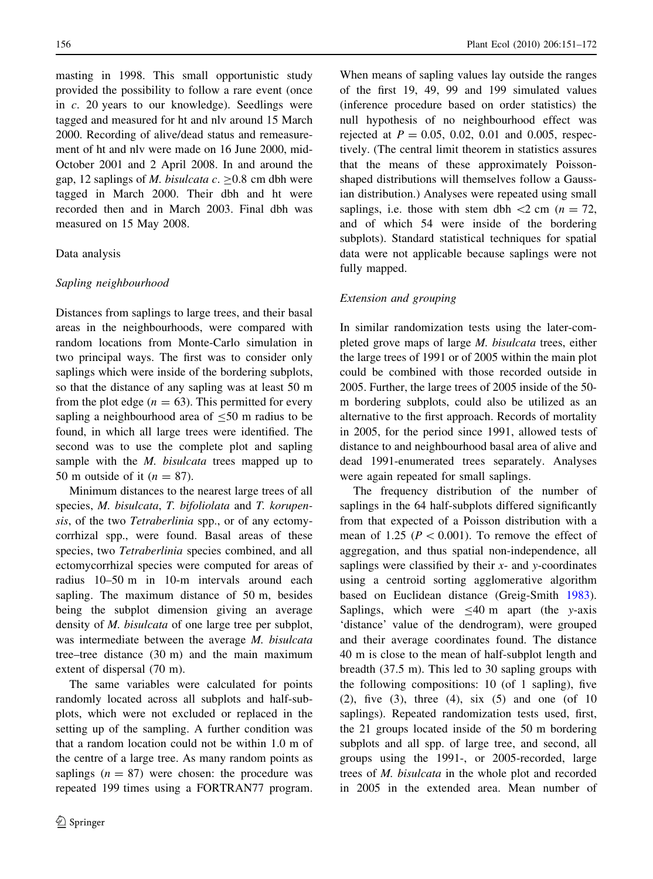masting in 1998. This small opportunistic study provided the possibility to follow a rare event (once in c. 20 years to our knowledge). Seedlings were tagged and measured for ht and nlv around 15 March 2000. Recording of alive/dead status and remeasurement of ht and nlv were made on 16 June 2000, mid-October 2001 and 2 April 2008. In and around the gap, 12 saplings of *M. bisulcata c.*  $\geq$ 0.8 cm dbh were tagged in March 2000. Their dbh and ht were recorded then and in March 2003. Final dbh was measured on 15 May 2008.

## Data analysis

## Sapling neighbourhood

Distances from saplings to large trees, and their basal areas in the neighbourhoods, were compared with random locations from Monte-Carlo simulation in two principal ways. The first was to consider only saplings which were inside of the bordering subplots, so that the distance of any sapling was at least 50 m from the plot edge ( $n = 63$ ). This permitted for every sapling a neighbourhood area of  $\leq 50$  m radius to be found, in which all large trees were identified. The second was to use the complete plot and sapling sample with the *M. bisulcata* trees mapped up to 50 m outside of it ( $n = 87$ ).

Minimum distances to the nearest large trees of all species, *M. bisulcata*, *T. bifoliolata* and *T. korupen*sis, of the two Tetraberlinia spp., or of any ectomycorrhizal spp., were found. Basal areas of these species, two Tetraberlinia species combined, and all ectomycorrhizal species were computed for areas of radius 10–50 m in 10-m intervals around each sapling. The maximum distance of 50 m, besides being the subplot dimension giving an average density of *M. bisulcata* of one large tree per subplot, was intermediate between the average M. bisulcata tree–tree distance (30 m) and the main maximum extent of dispersal (70 m).

The same variables were calculated for points randomly located across all subplots and half-subplots, which were not excluded or replaced in the setting up of the sampling. A further condition was that a random location could not be within 1.0 m of the centre of a large tree. As many random points as saplings  $(n = 87)$  were chosen: the procedure was repeated 199 times using a FORTRAN77 program.

When means of sapling values lay outside the ranges of the first 19, 49, 99 and 199 simulated values (inference procedure based on order statistics) the null hypothesis of no neighbourhood effect was rejected at  $P = 0.05, 0.02, 0.01$  and 0.005, respectively. (The central limit theorem in statistics assures that the means of these approximately Poissonshaped distributions will themselves follow a Gaussian distribution.) Analyses were repeated using small saplings, i.e. those with stem dbh  $\langle 2 \text{ cm } (n = 72,$ and of which 54 were inside of the bordering subplots). Standard statistical techniques for spatial data were not applicable because saplings were not fully mapped.

## Extension and grouping

In similar randomization tests using the later-completed grove maps of large M. bisulcata trees, either the large trees of 1991 or of 2005 within the main plot could be combined with those recorded outside in 2005. Further, the large trees of 2005 inside of the 50 m bordering subplots, could also be utilized as an alternative to the first approach. Records of mortality in 2005, for the period since 1991, allowed tests of distance to and neighbourhood basal area of alive and dead 1991-enumerated trees separately. Analyses were again repeated for small saplings.

The frequency distribution of the number of saplings in the 64 half-subplots differed significantly from that expected of a Poisson distribution with a mean of 1.25 ( $P < 0.001$ ). To remove the effect of aggregation, and thus spatial non-independence, all saplings were classified by their  $x$ - and  $y$ -coordinates using a centroid sorting agglomerative algorithm based on Euclidean distance (Greig-Smith [1983](#page-20-0)). Saplings, which were  $\leq 40$  m apart (the y-axis 'distance' value of the dendrogram), were grouped and their average coordinates found. The distance 40 m is close to the mean of half-subplot length and breadth (37.5 m). This led to 30 sapling groups with the following compositions: 10 (of 1 sapling), five (2), five (3), three (4), six (5) and one (of 10 saplings). Repeated randomization tests used, first, the 21 groups located inside of the 50 m bordering subplots and all spp. of large tree, and second, all groups using the 1991-, or 2005-recorded, large trees of M. bisulcata in the whole plot and recorded in 2005 in the extended area. Mean number of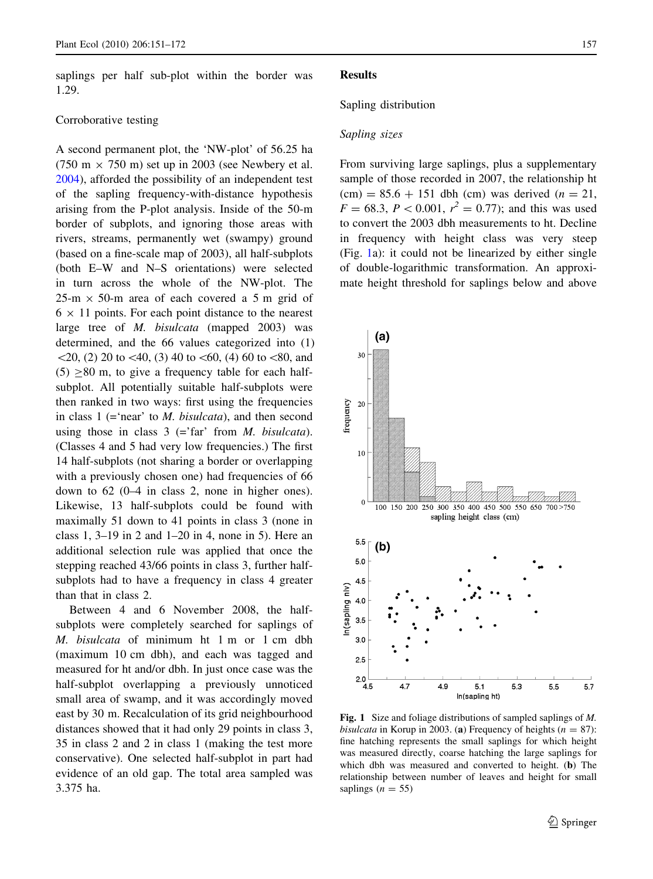<span id="page-6-0"></span>saplings per half sub-plot within the border was 1.29.

#### Corroborative testing

A second permanent plot, the 'NW-plot' of 56.25 ha (750 m  $\times$  750 m) set up in 2003 (see Newbery et al. [2004\)](#page-20-0), afforded the possibility of an independent test of the sapling frequency-with-distance hypothesis arising from the P-plot analysis. Inside of the 50-m border of subplots, and ignoring those areas with rivers, streams, permanently wet (swampy) ground (based on a fine-scale map of 2003), all half-subplots (both E–W and N–S orientations) were selected in turn across the whole of the NW-plot. The  $25\text{-m} \times 50\text{-m}$  area of each covered a 5 m grid of  $6 \times 11$  points. For each point distance to the nearest large tree of M. bisulcata (mapped 2003) was determined, and the 66 values categorized into (1)  $\langle 20, (2) 20$  to  $\langle 40, (3) 40$  to  $\langle 60, (4) 60$  to  $\langle 80,$  and  $(5) \geq 80$  m, to give a frequency table for each halfsubplot. All potentially suitable half-subplots were then ranked in two ways: first using the frequencies in class  $1$  (= 'near' to *M. bisulcata*), and then second using those in class  $3$  (='far' from *M. bisulcata*). (Classes 4 and 5 had very low frequencies.) The first 14 half-subplots (not sharing a border or overlapping with a previously chosen one) had frequencies of 66 down to 62 (0–4 in class 2, none in higher ones). Likewise, 13 half-subplots could be found with maximally 51 down to 41 points in class 3 (none in class 1, 3–19 in 2 and 1–20 in 4, none in 5). Here an additional selection rule was applied that once the stepping reached 43/66 points in class 3, further halfsubplots had to have a frequency in class 4 greater than that in class 2.

Between 4 and 6 November 2008, the halfsubplots were completely searched for saplings of M. bisulcata of minimum ht 1 m or 1 cm dbh (maximum 10 cm dbh), and each was tagged and measured for ht and/or dbh. In just once case was the half-subplot overlapping a previously unnoticed small area of swamp, and it was accordingly moved east by 30 m. Recalculation of its grid neighbourhood distances showed that it had only 29 points in class 3, 35 in class 2 and 2 in class 1 (making the test more conservative). One selected half-subplot in part had evidence of an old gap. The total area sampled was 3.375 ha.

#### Results

#### Sapling distribution

## Sapling sizes

From surviving large saplings, plus a supplementary sample of those recorded in 2007, the relationship ht (cm) =  $85.6 + 151$  dbh (cm) was derived ( $n = 21$ ,  $F = 68.3, P < 0.001, r<sup>2</sup> = 0.77$ ; and this was used to convert the 2003 dbh measurements to ht. Decline in frequency with height class was very steep (Fig. 1a): it could not be linearized by either single of double-logarithmic transformation. An approximate height threshold for saplings below and above



Fig. 1 Size and foliage distributions of sampled saplings of M. *bisulcata* in Korup in 2003. (a) Frequency of heights ( $n = 87$ ): fine hatching represents the small saplings for which height was measured directly, coarse hatching the large saplings for which dbh was measured and converted to height. (b) The relationship between number of leaves and height for small saplings  $(n = 55)$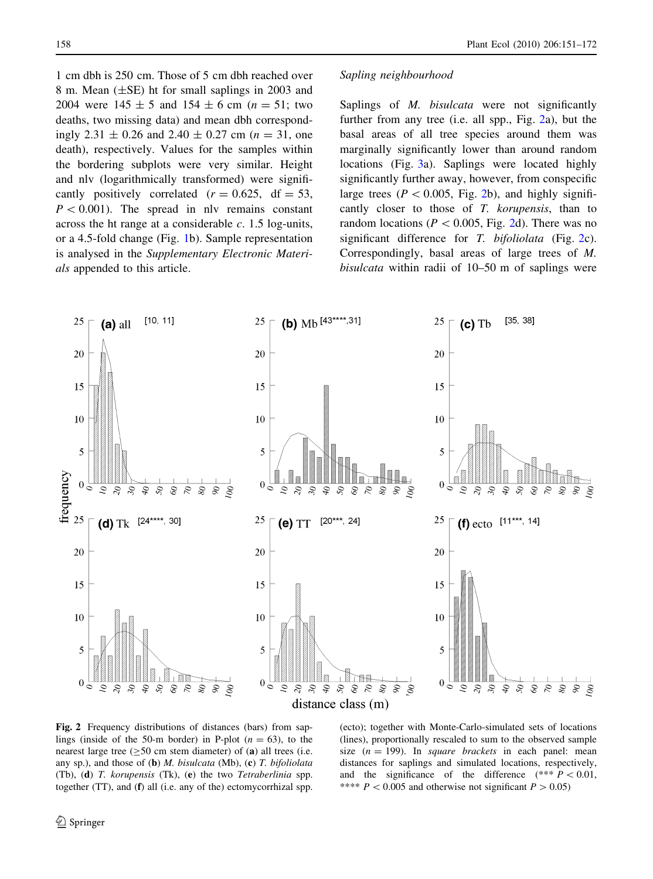<span id="page-7-0"></span>1 cm dbh is 250 cm. Those of 5 cm dbh reached over 8 m. Mean (±SE) ht for small saplings in 2003 and 2004 were  $145 \pm 5$  and  $154 \pm 6$  cm ( $n = 51$ ; two deaths, two missing data) and mean dbh correspondingly 2.31  $\pm$  0.26 and 2.40  $\pm$  0.27 cm (n = 31, one death), respectively. Values for the samples within the bordering subplots were very similar. Height and nlv (logarithmically transformed) were significantly positively correlated  $(r = 0.625, df = 53,$  $P < 0.001$ ). The spread in nlv remains constant across the ht range at a considerable  $c$ . 1.5 log-units, or a 4.5-fold change (Fig. [1b](#page-6-0)). Sample representation is analysed in the Supplementary Electronic Materials appended to this article.

#### Sapling neighbourhood

Saplings of *M. bisulcata* were not significantly further from any tree (i.e. all spp., Fig. 2a), but the basal areas of all tree species around them was marginally significantly lower than around random locations (Fig. [3](#page-8-0)a). Saplings were located highly significantly further away, however, from conspecific large trees ( $P < 0.005$ , Fig. 2b), and highly significantly closer to those of T. korupensis, than to random locations ( $P \lt 0.005$ , Fig. 2d). There was no significant difference for *T. bifoliolata* (Fig. 2c). Correspondingly, basal areas of large trees of M. bisulcata within radii of 10–50 m of saplings were



Fig. 2 Frequency distributions of distances (bars) from saplings (inside of the 50-m border) in P-plot ( $n = 63$ ), to the nearest large tree ( $\geq$ 50 cm stem diameter) of (a) all trees (i.e. any sp.), and those of  $(b)$  *M. bisulcata* (Mb),  $(c)$  *T. bifoliolata* (Tb), (d) T. korupensis (Tk), (e) the two Tetraberlinia spp. together (TT), and (f) all (i.e. any of the) ectomycorrhizal spp.

(ecto); together with Monte-Carlo-simulated sets of locations (lines), proportionally rescaled to sum to the observed sample size  $(n = 199)$ . In *square brackets* in each panel: mean distances for saplings and simulated locations, respectively, and the significance of the difference  $(*** P < 0.01,$ \*\*\*\*  $P < 0.005$  and otherwise not significant  $P > 0.05$ )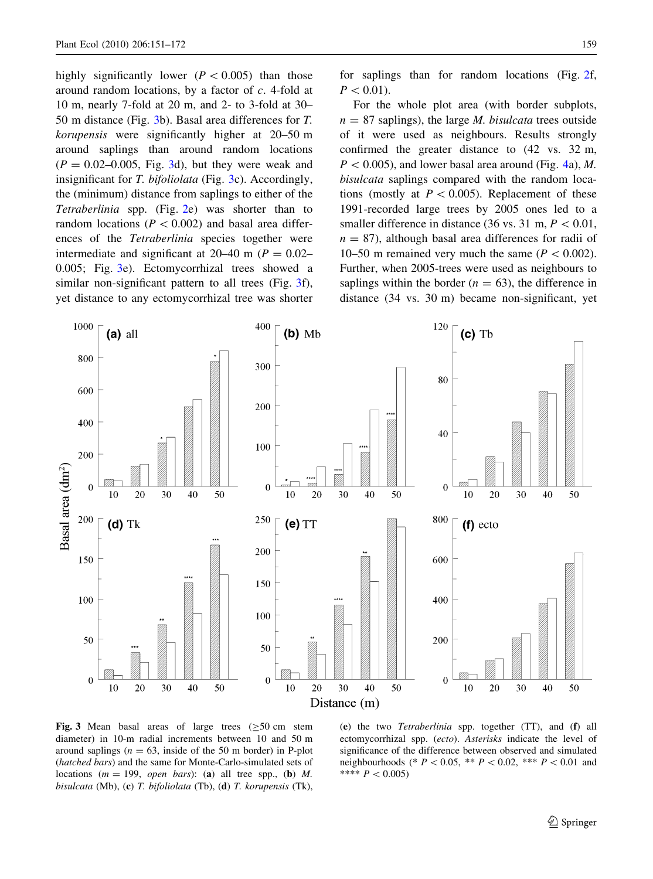<span id="page-8-0"></span>highly significantly lower ( $P < 0.005$ ) than those around random locations, by a factor of c. 4-fold at 10 m, nearly 7-fold at 20 m, and 2- to 3-fold at 30– 50 m distance (Fig. 3b). Basal area differences for T. korupensis were significantly higher at 20–50 m around saplings than around random locations  $(P = 0.02{\text -}0.005,$  Fig. 3d), but they were weak and insignificant for T. bifoliolata (Fig. 3c). Accordingly, the (minimum) distance from saplings to either of the Tetraberlinia spp. (Fig. [2e](#page-7-0)) was shorter than to random locations ( $P < 0.002$ ) and basal area differences of the Tetraberlinia species together were intermediate and significant at  $20-40$  m ( $P = 0.02-$ 0.005; Fig. 3e). Ectomycorrhizal trees showed a similar non-significant pattern to all trees (Fig. 3f), yet distance to any ectomycorrhizal tree was shorter for saplings than for random locations (Fig. [2](#page-7-0)f,  $P < 0.01$ ).

For the whole plot area (with border subplots,  $n = 87$  saplings), the large *M. bisulcata* trees outside of it were used as neighbours. Results strongly confirmed the greater distance to (42 vs. 32 m,  $P < 0.005$ ), and lower basal area around (Fig. [4a](#page-9-0)), M. bisulcata saplings compared with the random locations (mostly at  $P < 0.005$ ). Replacement of these 1991-recorded large trees by 2005 ones led to a smaller difference in distance (36 vs. 31 m,  $P \le 0.01$ ,  $n = 87$ ), although basal area differences for radii of 10–50 m remained very much the same  $(P<0.002)$ . Further, when 2005-trees were used as neighbours to saplings within the border  $(n = 63)$ , the difference in distance (34 vs. 30 m) became non-significant, yet



Fig. 3 Mean basal areas of large trees  $(>50 \text{ cm} \text{ stem})$ diameter) in 10-m radial increments between 10 and 50 m around saplings ( $n = 63$ , inside of the 50 m border) in P-plot (hatched bars) and the same for Monte-Carlo-simulated sets of locations ( $m = 199$ , open bars): (a) all tree spp., (b) M. bisulcata (Mb), (c) T. bifoliolata (Tb), (d) T. korupensis (Tk),

(e) the two Tetraberlinia spp. together (TT), and (f) all ectomycorrhizal spp. (ecto). Asterisks indicate the level of significance of the difference between observed and simulated neighbourhoods (\*  $P < 0.05$ , \*\*  $P < 0.02$ , \*\*\*  $P < 0.01$  and \*\*\*\*  $P < 0.005$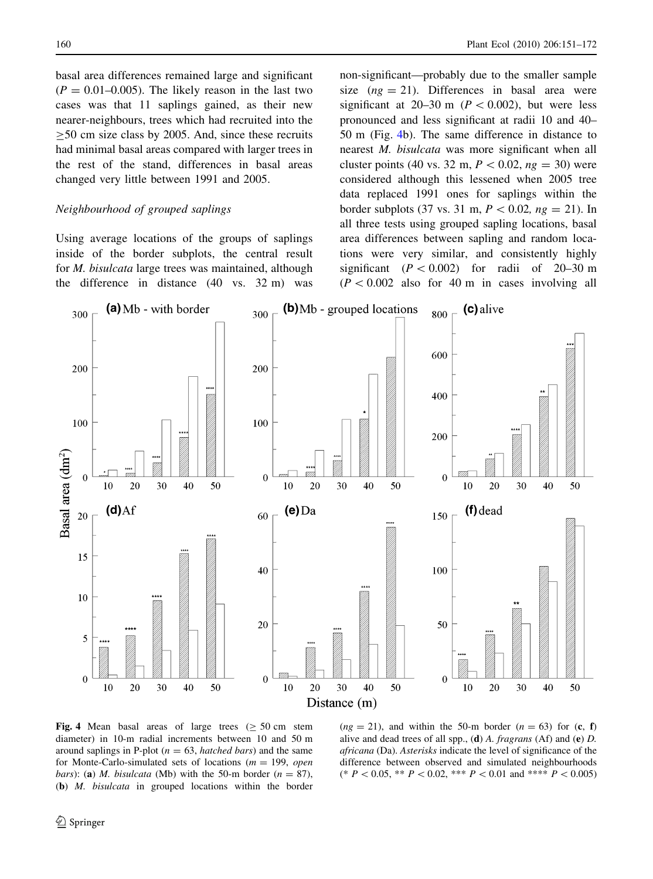<span id="page-9-0"></span>basal area differences remained large and significant  $(P = 0.01 - 0.005)$ . The likely reason in the last two cases was that 11 saplings gained, as their new nearer-neighbours, trees which had recruited into the  $\geq$ 50 cm size class by 2005. And, since these recruits had minimal basal areas compared with larger trees in the rest of the stand, differences in basal areas changed very little between 1991 and 2005.

## Neighbourhood of grouped saplings

Using average locations of the groups of saplings inside of the border subplots, the central result for M. bisulcata large trees was maintained, although the difference in distance (40 vs. 32 m) was non-significant—probably due to the smaller sample size  $(ng = 21)$ . Differences in basal area were significant at 20–30 m ( $P < 0.002$ ), but were less pronounced and less significant at radii 10 and 40– 50 m (Fig. 4b). The same difference in distance to nearest M. bisulcata was more significant when all cluster points (40 vs. 32 m,  $P < 0.02$ ,  $ng = 30$ ) were considered although this lessened when 2005 tree data replaced 1991 ones for saplings within the border subplots (37 vs. 31 m,  $P < 0.02$ ,  $ng = 21$ ). In all three tests using grouped sapling locations, basal area differences between sapling and random locations were very similar, and consistently highly significant  $(P < 0.002)$  for radii of 20–30 m  $(P<0.002$  also for 40 m in cases involving all



Fig. 4 Mean basal areas of large trees  $( \geq 50 \text{ cm} \text{ stem})$ diameter) in 10-m radial increments between 10 and 50 m around saplings in P-plot ( $n = 63$ , *hatched bars*) and the same for Monte-Carlo-simulated sets of locations ( $m = 199$ , open *bars*): (a) *M. bisulcata* (Mb) with the 50-m border ( $n = 87$ ), (b) M. bisulcata in grouped locations within the border

 $(ng = 21)$ , and within the 50-m border  $(n = 63)$  for  $(c, f)$ alive and dead trees of all spp.,  $(d)$  A. fragrans (Af) and  $(e)$  D. africana (Da). Asterisks indicate the level of significance of the difference between observed and simulated neighbourhoods  $(* P < 0.05, ** P < 0.02, ** P < 0.01 \text{ and} *** P < 0.005)$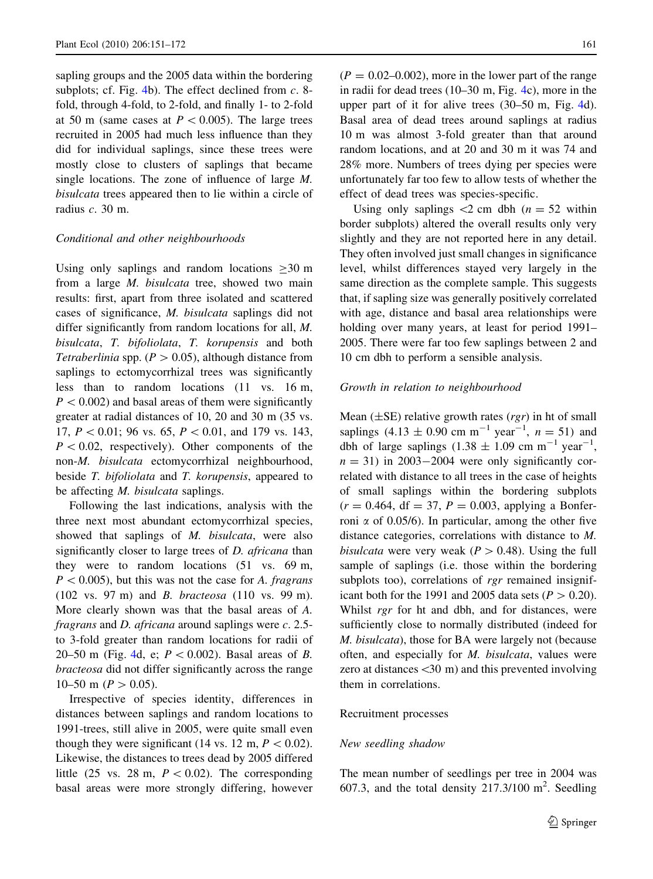sapling groups and the 2005 data within the bordering subplots; cf. Fig. [4b](#page-9-0)). The effect declined from  $c$ . 8fold, through 4-fold, to 2-fold, and finally 1- to 2-fold at 50 m (same cases at  $P < 0.005$ ). The large trees recruited in 2005 had much less influence than they did for individual saplings, since these trees were mostly close to clusters of saplings that became single locations. The zone of influence of large M. bisulcata trees appeared then to lie within a circle of radius c. 30 m.

# Conditional and other neighbourhoods

Using only saplings and random locations  $\geq 30$  m from a large M. bisulcata tree, showed two main results: first, apart from three isolated and scattered cases of significance, M. bisulcata saplings did not differ significantly from random locations for all, M. bisulcata, T. bifoliolata, T. korupensis and both Tetraberlinia spp. ( $P > 0.05$ ), although distance from saplings to ectomycorrhizal trees was significantly less than to random locations (11 vs. 16 m,  $P < 0.002$ ) and basal areas of them were significantly greater at radial distances of 10, 20 and 30 m (35 vs. 17,  $P < 0.01$ ; 96 vs. 65,  $P < 0.01$ , and 179 vs. 143,  $P < 0.02$ , respectively). Other components of the non-M. bisulcata ectomycorrhizal neighbourhood, beside T. bifoliolata and T. korupensis, appeared to be affecting M. bisulcata saplings.

Following the last indications, analysis with the three next most abundant ectomycorrhizal species, showed that saplings of M. bisulcata, were also significantly closer to large trees of *D. africana* than they were to random locations (51 vs. 69 m,  $P < 0.005$ ), but this was not the case for A. fragrans (102 vs. 97 m) and B. bracteosa (110 vs. 99 m). More clearly shown was that the basal areas of A. fragrans and D. africana around saplings were c. 2.5to 3-fold greater than random locations for radii of 20–50 m (Fig. [4](#page-9-0)d, e;  $P < 0.002$ ). Basal areas of B. bracteosa did not differ significantly across the range 10–50 m ( $P > 0.05$ ).

Irrespective of species identity, differences in distances between saplings and random locations to 1991-trees, still alive in 2005, were quite small even though they were significant (14 vs. 12 m,  $P \lt 0.02$ ). Likewise, the distances to trees dead by 2005 differed little (25 vs. 28 m,  $P \lt 0.02$ ). The corresponding basal areas were more strongly differing, however  $(P = 0.02{\text -}0.002)$ , more in the lower part of the range in radii for dead trees (10–30 m, Fig. [4c](#page-9-0)), more in the upper part of it for alive trees (30–50 m, Fig. [4](#page-9-0)d). Basal area of dead trees around saplings at radius 10 m was almost 3-fold greater than that around random locations, and at 20 and 30 m it was 74 and 28% more. Numbers of trees dying per species were unfortunately far too few to allow tests of whether the effect of dead trees was species-specific.

Using only saplings  $\langle 2 \text{ cm} \text{ dbh } (n = 52 \text{ within})$ border subplots) altered the overall results only very slightly and they are not reported here in any detail. They often involved just small changes in significance level, whilst differences stayed very largely in the same direction as the complete sample. This suggests that, if sapling size was generally positively correlated with age, distance and basal area relationships were holding over many years, at least for period 1991– 2005. There were far too few saplings between 2 and 10 cm dbh to perform a sensible analysis.

## Growth in relation to neighbourhood

Mean ( $\pm$ SE) relative growth rates (*rgr*) in ht of small saplings  $(4.13 \pm 0.90 \text{ cm m}^{-1} \text{ year}^{-1}, n = 51)$  and dbh of large saplings  $(1.38 \pm 1.09 \text{ cm m}^{-1} \text{ year}^{-1})$ ,  $n = 31$ ) in 2003-2004 were only significantly correlated with distance to all trees in the case of heights of small saplings within the bordering subplots  $(r = 0.464, df = 37, P = 0.003, applying a Bonfer$ roni  $\alpha$  of 0.05/6). In particular, among the other five distance categories, correlations with distance to M. *bisulcata* were very weak ( $P > 0.48$ ). Using the full sample of saplings (i.e. those within the bordering subplots too), correlations of rgr remained insignificant both for the 1991 and 2005 data sets ( $P > 0.20$ ). Whilst rgr for ht and dbh, and for distances, were sufficiently close to normally distributed (indeed for M. bisulcata), those for BA were largely not (because often, and especially for M. bisulcata, values were zero at distances  $\leq$ 30 m) and this prevented involving them in correlations.

## Recruitment processes

## New seedling shadow

The mean number of seedlings per tree in 2004 was 607.3, and the total density  $217.3/100$  m<sup>2</sup>. Seedling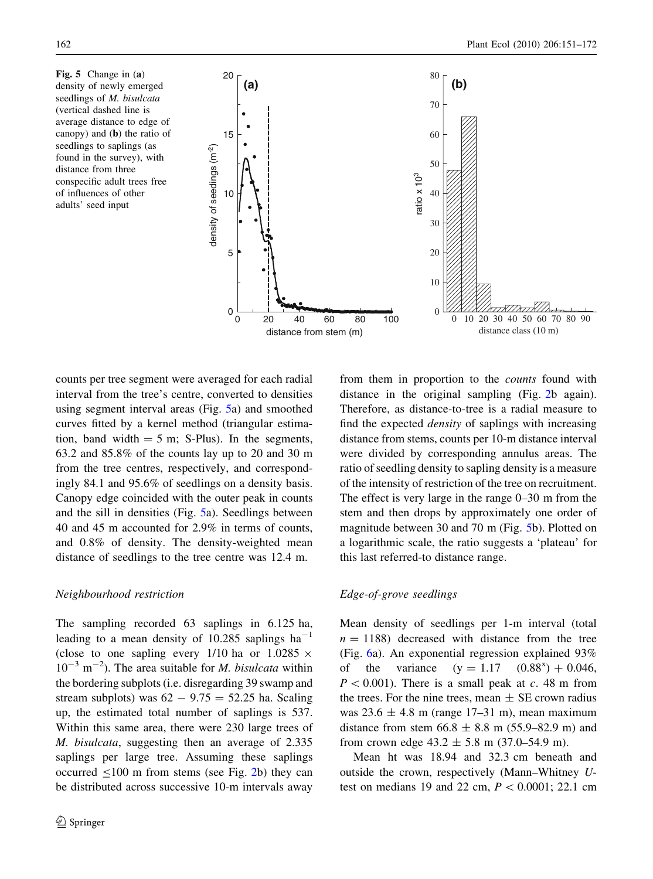Fig. 5 Change in (a) density of newly emerged seedlings of M. bisulcata (vertical dashed line is average distance to edge of canopy) and (b) the ratio of seedlings to saplings (as found in the survey), with distance from three conspecific adult trees free of influences of other adults' seed input



counts per tree segment were averaged for each radial interval from the tree's centre, converted to densities using segment interval areas (Fig. 5a) and smoothed curves fitted by a kernel method (triangular estimation, band width  $= 5$  m; S-Plus). In the segments, 63.2 and 85.8% of the counts lay up to 20 and 30 m from the tree centres, respectively, and correspondingly 84.1 and 95.6% of seedlings on a density basis. Canopy edge coincided with the outer peak in counts and the sill in densities (Fig. 5a). Seedlings between 40 and 45 m accounted for 2.9% in terms of counts, and 0.8% of density. The density-weighted mean distance of seedlings to the tree centre was 12.4 m.

## Neighbourhood restriction

The sampling recorded 63 saplings in 6.125 ha, leading to a mean density of 10.285 saplings  $ha^{-1}$ (close to one sapling every 1/10 ha or 1.0285  $\times$  $10^{-3}$  m<sup>-2</sup>). The area suitable for *M. bisulcata* within the bordering subplots (i.e. disregarding 39 swamp and stream subplots) was  $62 - 9.75 = 52.25$  ha. Scaling up, the estimated total number of saplings is 537. Within this same area, there were 230 large trees of M. bisulcata, suggesting then an average of 2.335 saplings per large tree. Assuming these saplings occurred  $\leq 100$  m from stems (see Fig. [2b](#page-7-0)) they can be distributed across successive 10-m intervals away from them in proportion to the counts found with distance in the original sampling (Fig. [2b](#page-7-0) again). Therefore, as distance-to-tree is a radial measure to find the expected density of saplings with increasing distance from stems, counts per 10-m distance interval were divided by corresponding annulus areas. The ratio of seedling density to sapling density is a measure of the intensity of restriction of the tree on recruitment. The effect is very large in the range 0–30 m from the stem and then drops by approximately one order of magnitude between 30 and 70 m (Fig. 5b). Plotted on a logarithmic scale, the ratio suggests a 'plateau' for this last referred-to distance range.

# Edge-of-grove seedlings

Mean density of seedlings per 1-m interval (total  $n = 1188$ ) decreased with distance from the tree (Fig. [6](#page-12-0)a). An exponential regression explained 93% of the variance  $(y = 1.17)$  $(0.88^x) + 0.046,$  $P < 0.001$ ). There is a small peak at c. 48 m from the trees. For the nine trees, mean  $\pm$  SE crown radius was  $23.6 \pm 4.8$  m (range 17–31 m), mean maximum distance from stem  $66.8 \pm 8.8$  m  $(55.9 - 82.9$  m) and from crown edge  $43.2 \pm 5.8$  m  $(37.0 - 54.9$  m).

Mean ht was 18.94 and 32.3 cm beneath and outside the crown, respectively (Mann–Whitney Utest on medians 19 and 22 cm,  $P < 0.0001$ ; 22.1 cm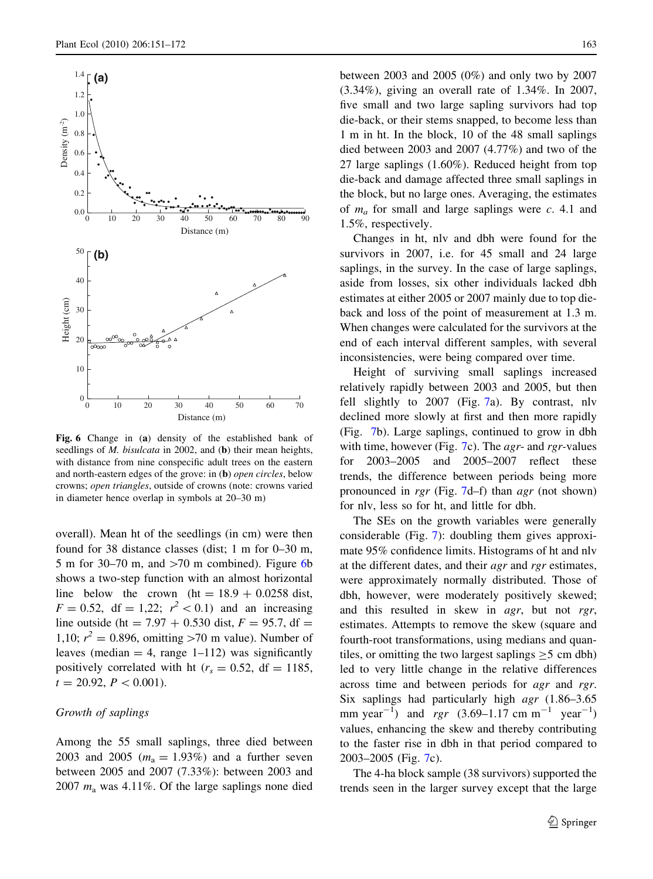<span id="page-12-0"></span>

Fig. 6 Change in (a) density of the established bank of seedlings of *M. bisulcata* in 2002, and (**b**) their mean heights, with distance from nine conspecific adult trees on the eastern and north-eastern edges of the grove: in (b) open circles, below crowns; open triangles, outside of crowns (note: crowns varied in diameter hence overlap in symbols at 20–30 m)

overall). Mean ht of the seedlings (in cm) were then found for 38 distance classes (dist; 1 m for 0–30 m, 5 m for 30–70 m, and  $>70$  m combined). Figure 6b shows a two-step function with an almost horizontal line below the crown (ht =  $18.9 + 0.0258$  dist,  $F = 0.52$ , df = 1,22;  $r^2 < 0.1$ ) and an increasing line outside (ht = 7.97 + 0.530 dist,  $F = 95.7$ , df = 1,10;  $r^2 = 0.896$ , omitting >70 m value). Number of leaves (median  $= 4$ , range 1–112) was significantly positively correlated with ht ( $r_s = 0.52$ , df = 1185,  $t = 20.92, P < 0.001$ .

## Growth of saplings

Among the 55 small saplings, three died between 2003 and 2005 ( $m_a = 1.93\%$ ) and a further seven between 2005 and 2007 (7.33%): between 2003 and 2007  $m_a$  was 4.11%. Of the large saplings none died between 2003 and 2005 (0%) and only two by 2007 (3.34%), giving an overall rate of 1.34%. In 2007, five small and two large sapling survivors had top die-back, or their stems snapped, to become less than 1 m in ht. In the block, 10 of the 48 small saplings died between 2003 and 2007 (4.77%) and two of the 27 large saplings (1.60%). Reduced height from top die-back and damage affected three small saplings in the block, but no large ones. Averaging, the estimates of  $m_a$  for small and large saplings were c. 4.1 and 1.5%, respectively.

Changes in ht, nlv and dbh were found for the survivors in 2007, i.e. for 45 small and 24 large saplings, in the survey. In the case of large saplings, aside from losses, six other individuals lacked dbh estimates at either 2005 or 2007 mainly due to top dieback and loss of the point of measurement at 1.3 m. When changes were calculated for the survivors at the end of each interval different samples, with several inconsistencies, were being compared over time.

Height of surviving small saplings increased relatively rapidly between 2003 and 2005, but then fell slightly to 2007 (Fig. [7a](#page-13-0)). By contrast, nlv declined more slowly at first and then more rapidly (Fig. [7b](#page-13-0)). Large saplings, continued to grow in dbh with time, however (Fig. [7c](#page-13-0)). The *agr*- and *rgr*-values for 2003–2005 and 2005–2007 reflect these trends, the difference between periods being more pronounced in rgr (Fig. [7d](#page-13-0)–f) than agr (not shown) for nlv, less so for ht, and little for dbh.

The SEs on the growth variables were generally considerable (Fig. [7](#page-13-0)): doubling them gives approximate 95% confidence limits. Histograms of ht and nlv at the different dates, and their agr and rgr estimates, were approximately normally distributed. Those of dbh, however, were moderately positively skewed; and this resulted in skew in agr, but not rgr, estimates. Attempts to remove the skew (square and fourth-root transformations, using medians and quantiles, or omitting the two largest saplings  $>5$  cm dbh) led to very little change in the relative differences across time and between periods for agr and rgr. Six saplings had particularly high agr (1.86–3.65 mm year<sup>-1</sup>) and *rgr* (3.69-1.17 cm m<sup>-1</sup> year<sup>-1</sup>) values, enhancing the skew and thereby contributing to the faster rise in dbh in that period compared to 2003–2005 (Fig. [7c](#page-13-0)).

The 4-ha block sample (38 survivors) supported the trends seen in the larger survey except that the large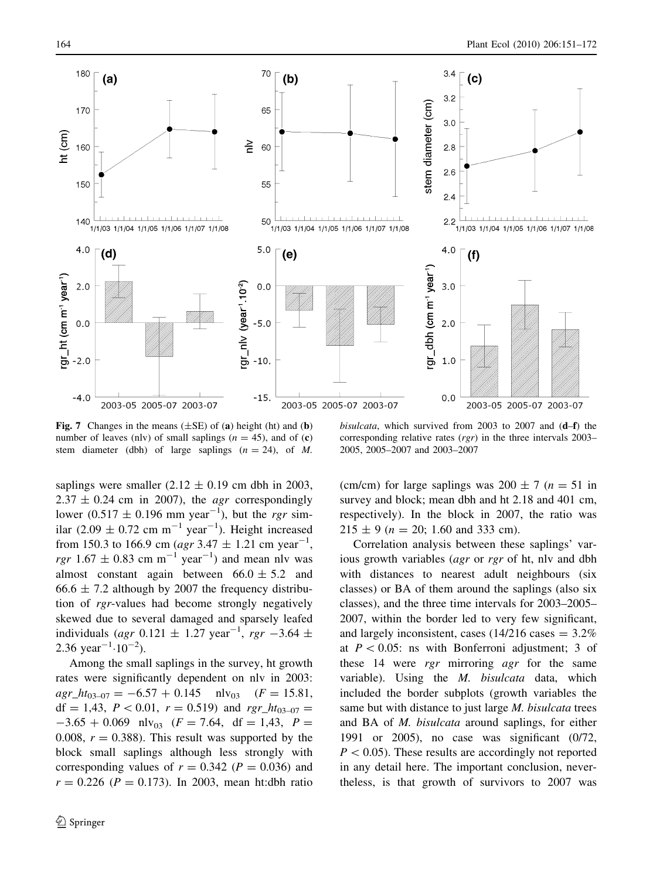<span id="page-13-0"></span>

Fig. 7 Changes in the means  $(\pm SE)$  of (a) height (ht) and (b) number of leaves (nlv) of small saplings ( $n = 45$ ), and of (c) stem diameter (dbh) of large saplings  $(n = 24)$ , of M.

bisulcata, which survived from 2003 to 2007 and  $(d-f)$  the corresponding relative rates (rgr) in the three intervals 2003– 2005, 2005–2007 and 2003–2007

saplings were smaller  $(2.12 \pm 0.19 \text{ cm}$  dbh in 2003,  $2.37 \pm 0.24$  cm in 2007), the *agr* correspondingly lower  $(0.517 \pm 0.196$  mm year<sup>-1</sup>), but the *rgr* similar  $(2.09 \pm 0.72 \text{ cm m}^{-1} \text{ year}^{-1})$ . Height increased from 150.3 to 166.9 cm (*agr* 3.47  $\pm$  1.21 cm year<sup>-1</sup>, *rgr*  $1.67 \pm 0.83$  cm m<sup>-1</sup> year<sup>-1</sup>) and mean nlv was almost constant again between  $66.0 \pm 5.2$  and  $66.6 \pm 7.2$  although by 2007 the frequency distribution of rgr-values had become strongly negatively skewed due to several damaged and sparsely leafed individuals (*agr* 0.121  $\pm$  1.27 year<sup>-1</sup>, *rgr* -3.64  $\pm$ 2.36 year<sup>-1</sup> $\cdot$ 10<sup>-2</sup>).

Among the small saplings in the survey, ht growth rates were significantly dependent on nlv in 2003:  $agr_-ht_{03-07} = -6.57 + 0.145$   $nlv_{03}$   $(F = 15.81,$ df = 1,43,  $P < 0.01$ ,  $r = 0.519$ ) and rgr  $ht_{03-07}$  =  $-3.65 + 0.069$  nlv<sub>03</sub> ( $F = 7.64$ , df = 1,43, P = 0.008,  $r = 0.388$ ). This result was supported by the block small saplings although less strongly with corresponding values of  $r = 0.342$  ( $P = 0.036$ ) and  $r = 0.226$  ( $P = 0.173$ ). In 2003, mean ht:dbh ratio (cm/cm) for large saplings was  $200 \pm 7$  ( $n = 51$  in survey and block; mean dbh and ht 2.18 and 401 cm, respectively). In the block in 2007, the ratio was  $215 \pm 9$  ( $n = 20$ ; 1.60 and 333 cm).

Correlation analysis between these saplings' various growth variables (agr or rgr of ht, nlv and dbh with distances to nearest adult neighbours (six classes) or BA of them around the saplings (also six classes), and the three time intervals for 2003–2005– 2007, within the border led to very few significant, and largely inconsistent, cases  $(14/216 \text{ cases} = 3.2\%$ at  $P < 0.05$ : ns with Bonferroni adjustment; 3 of these 14 were rgr mirroring *agr* for the same variable). Using the M. bisulcata data, which included the border subplots (growth variables the same but with distance to just large *M. bisulcata* trees and BA of M. bisulcata around saplings, for either 1991 or 2005), no case was significant (0/72,  $P < 0.05$ ). These results are accordingly not reported in any detail here. The important conclusion, nevertheless, is that growth of survivors to 2007 was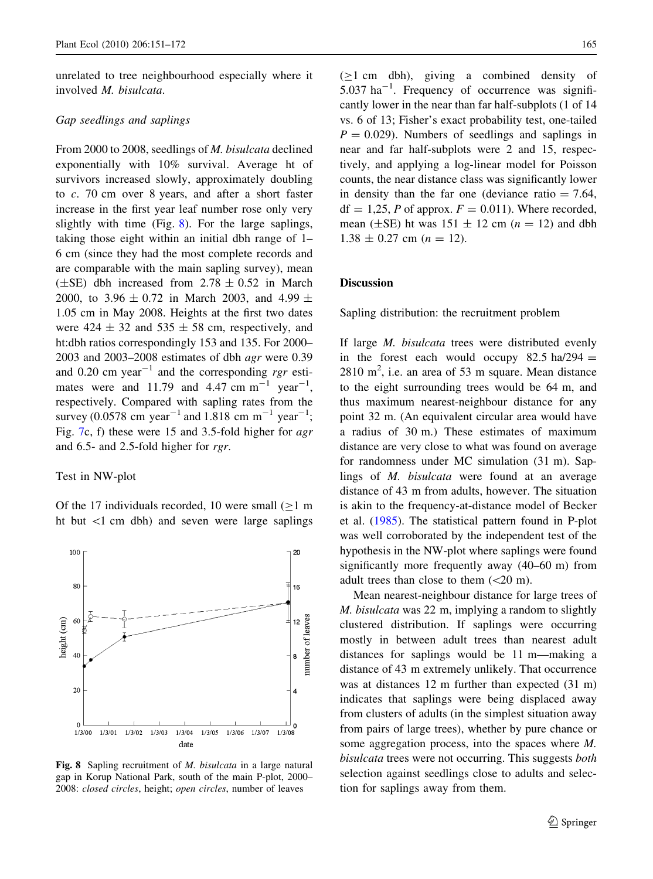unrelated to tree neighbourhood especially where it involved M. bisulcata.

## Gap seedlings and saplings

From 2000 to 2008, seedlings of M. bisulcata declined exponentially with 10% survival. Average ht of survivors increased slowly, approximately doubling to c. 70 cm over 8 years, and after a short faster increase in the first year leaf number rose only very slightly with time (Fig. 8). For the large saplings, taking those eight within an initial dbh range of 1– 6 cm (since they had the most complete records and are comparable with the main sapling survey), mean  $(\pm SE)$  dbh increased from 2.78  $\pm$  0.52 in March 2000, to 3.96  $\pm$  0.72 in March 2003, and 4.99  $\pm$ 1.05 cm in May 2008. Heights at the first two dates were  $424 \pm 32$  and  $535 \pm 58$  cm, respectively, and ht:dbh ratios correspondingly 153 and 135. For 2000– 2003 and 2003–2008 estimates of dbh agr were 0.39 and 0.20 cm year<sup>-1</sup> and the corresponding rgr estimates were and 11.79 and 4.47 cm  $m^{-1}$  year<sup>-1</sup>, respectively. Compared with sapling rates from the survey (0.0578 cm year<sup>-1</sup> and 1.818 cm m<sup>-1</sup> year<sup>-1</sup>; Fig. [7c](#page-13-0), f) these were 15 and 3.5-fold higher for agr and 6.5- and 2.5-fold higher for rgr.

## Test in NW-plot

Of the 17 individuals recorded, 10 were small  $(>1 \text{ m})$ ht but  $\langle 1 \rangle$  cm dbh) and seven were large saplings



Fig. 8 Sapling recruitment of *M. bisulcata* in a large natural gap in Korup National Park, south of the main P-plot, 2000– 2008: closed circles, height; open circles, number of leaves

 $(>1$  cm dbh), giving a combined density of  $5.037$  ha<sup>-1</sup>. Frequency of occurrence was significantly lower in the near than far half-subplots (1 of 14 vs. 6 of 13; Fisher's exact probability test, one-tailed  $P = 0.029$ . Numbers of seedlings and saplings in near and far half-subplots were 2 and 15, respectively, and applying a log-linear model for Poisson counts, the near distance class was significantly lower in density than the far one (deviance ratio  $= 7.64$ ,  $df = 1,25$ , P of approx.  $F = 0.011$ ). Where recorded, mean ( $\pm$ SE) ht was 151  $\pm$  12 cm ( $n = 12$ ) and dbh  $1.38 \pm 0.27$  cm  $(n = 12)$ .

#### **Discussion**

Sapling distribution: the recruitment problem

If large M. bisulcata trees were distributed evenly in the forest each would occupy  $82.5$  ha/294 =  $2810 \text{ m}^2$ , i.e. an area of 53 m square. Mean distance to the eight surrounding trees would be 64 m, and thus maximum nearest-neighbour distance for any point 32 m. (An equivalent circular area would have a radius of 30 m.) These estimates of maximum distance are very close to what was found on average for randomness under MC simulation (31 m). Saplings of M. bisulcata were found at an average distance of 43 m from adults, however. The situation is akin to the frequency-at-distance model of Becker et al. [\(1985](#page-19-0)). The statistical pattern found in P-plot was well corroborated by the independent test of the hypothesis in the NW-plot where saplings were found significantly more frequently away (40–60 m) from adult trees than close to them  $(<20$  m).

Mean nearest-neighbour distance for large trees of M. bisulcata was 22 m, implying a random to slightly clustered distribution. If saplings were occurring mostly in between adult trees than nearest adult distances for saplings would be 11 m—making a distance of 43 m extremely unlikely. That occurrence was at distances 12 m further than expected (31 m) indicates that saplings were being displaced away from clusters of adults (in the simplest situation away from pairs of large trees), whether by pure chance or some aggregation process, into the spaces where M. bisulcata trees were not occurring. This suggests both selection against seedlings close to adults and selection for saplings away from them.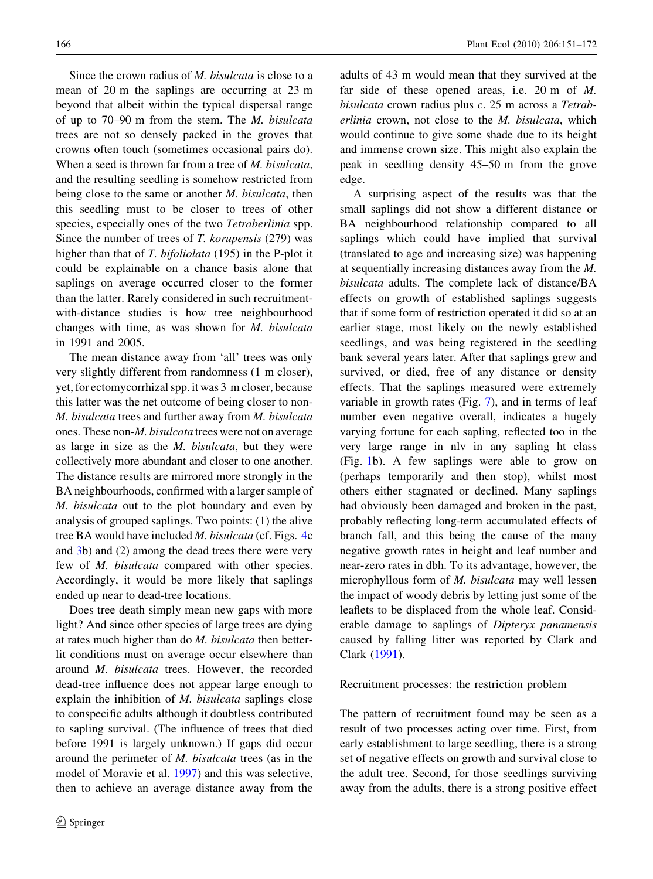Since the crown radius of M. bisulcata is close to a mean of 20 m the saplings are occurring at 23 m beyond that albeit within the typical dispersal range of up to 70–90 m from the stem. The M. bisulcata trees are not so densely packed in the groves that crowns often touch (sometimes occasional pairs do). When a seed is thrown far from a tree of M. bisulcata, and the resulting seedling is somehow restricted from being close to the same or another M. bisulcata, then this seedling must to be closer to trees of other species, especially ones of the two Tetraberlinia spp. Since the number of trees of T. korupensis (279) was higher than that of T. bifoliolata (195) in the P-plot it could be explainable on a chance basis alone that saplings on average occurred closer to the former than the latter. Rarely considered in such recruitmentwith-distance studies is how tree neighbourhood changes with time, as was shown for M. bisulcata in 1991 and 2005.

The mean distance away from 'all' trees was only very slightly different from randomness (1 m closer), yet, for ectomycorrhizal spp. it was 3 m closer, because this latter was the net outcome of being closer to non-M. bisulcata trees and further away from M. bisulcata ones. These non-M. bisulcata trees were not on average as large in size as the  $M$ . bisulcata, but they were collectively more abundant and closer to one another. The distance results are mirrored more strongly in the BA neighbourhoods, confirmed with a larger sample of M. bisulcata out to the plot boundary and even by analysis of grouped saplings. Two points: (1) the alive tree BA would have included M. bisulcata (cf. Figs. [4c](#page-9-0) and [3b](#page-8-0)) and (2) among the dead trees there were very few of *M. bisulcata* compared with other species. Accordingly, it would be more likely that saplings ended up near to dead-tree locations.

Does tree death simply mean new gaps with more light? And since other species of large trees are dying at rates much higher than do M. bisulcata then betterlit conditions must on average occur elsewhere than around M. bisulcata trees. However, the recorded dead-tree influence does not appear large enough to explain the inhibition of M. bisulcata saplings close to conspecific adults although it doubtless contributed to sapling survival. (The influence of trees that died before 1991 is largely unknown.) If gaps did occur around the perimeter of M. bisulcata trees (as in the model of Moravie et al. [1997](#page-20-0)) and this was selective, then to achieve an average distance away from the adults of 43 m would mean that they survived at the far side of these opened areas, i.e. 20 m of M. bisulcata crown radius plus c. 25 m across a Tetraberlinia crown, not close to the *M. bisulcata*, which would continue to give some shade due to its height and immense crown size. This might also explain the peak in seedling density 45–50 m from the grove edge.

A surprising aspect of the results was that the small saplings did not show a different distance or BA neighbourhood relationship compared to all saplings which could have implied that survival (translated to age and increasing size) was happening at sequentially increasing distances away from the M. bisulcata adults. The complete lack of distance/BA effects on growth of established saplings suggests that if some form of restriction operated it did so at an earlier stage, most likely on the newly established seedlings, and was being registered in the seedling bank several years later. After that saplings grew and survived, or died, free of any distance or density effects. That the saplings measured were extremely variable in growth rates (Fig. [7\)](#page-13-0), and in terms of leaf number even negative overall, indicates a hugely varying fortune for each sapling, reflected too in the very large range in nlv in any sapling ht class (Fig. [1](#page-6-0)b). A few saplings were able to grow on (perhaps temporarily and then stop), whilst most others either stagnated or declined. Many saplings had obviously been damaged and broken in the past, probably reflecting long-term accumulated effects of branch fall, and this being the cause of the many negative growth rates in height and leaf number and near-zero rates in dbh. To its advantage, however, the microphyllous form of M. bisulcata may well lessen the impact of woody debris by letting just some of the leaflets to be displaced from the whole leaf. Considerable damage to saplings of Dipteryx panamensis caused by falling litter was reported by Clark and Clark ([1991\)](#page-19-0).

## Recruitment processes: the restriction problem

The pattern of recruitment found may be seen as a result of two processes acting over time. First, from early establishment to large seedling, there is a strong set of negative effects on growth and survival close to the adult tree. Second, for those seedlings surviving away from the adults, there is a strong positive effect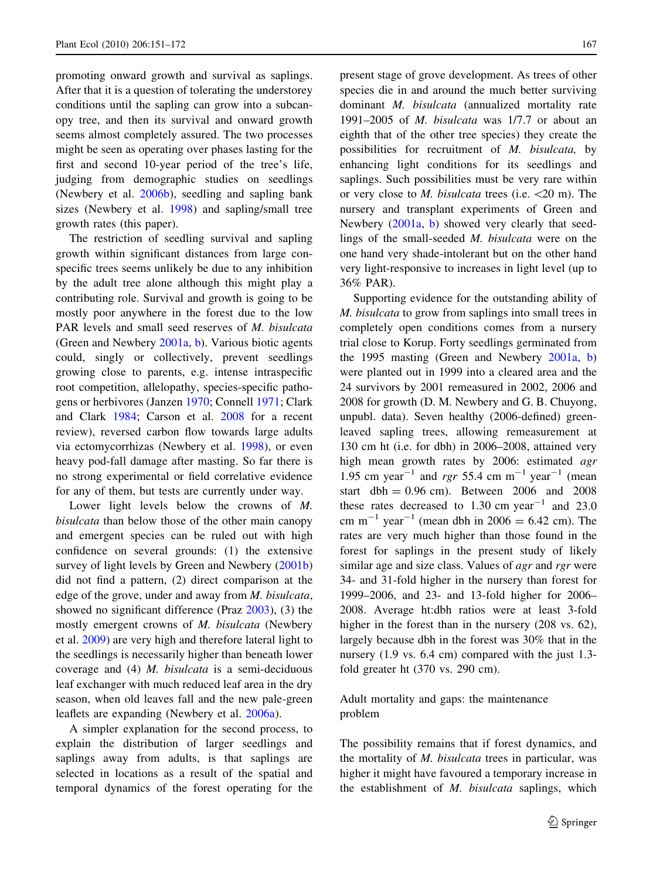promoting onward growth and survival as saplings. After that it is a question of tolerating the understorey conditions until the sapling can grow into a subcanopy tree, and then its survival and onward growth seems almost completely assured. The two processes might be seen as operating over phases lasting for the first and second 10-year period of the tree's life, judging from demographic studies on seedlings (Newbery et al. [2006b](#page-20-0)), seedling and sapling bank sizes (Newbery et al. [1998\)](#page-20-0) and sapling/small tree growth rates (this paper).

The restriction of seedling survival and sapling growth within significant distances from large conspecific trees seems unlikely be due to any inhibition by the adult tree alone although this might play a contributing role. Survival and growth is going to be mostly poor anywhere in the forest due to the low PAR levels and small seed reserves of *M. bisulcata* (Green and Newbery [2001a](#page-20-0), [b](#page-20-0)). Various biotic agents could, singly or collectively, prevent seedlings growing close to parents, e.g. intense intraspecific root competition, allelopathy, species-specific pathogens or herbivores (Janzen [1970;](#page-20-0) Connell [1971;](#page-19-0) Clark and Clark [1984;](#page-19-0) Carson et al. [2008](#page-19-0) for a recent review), reversed carbon flow towards large adults via ectomycorrhizas (Newbery et al. [1998](#page-20-0)), or even heavy pod-fall damage after masting. So far there is no strong experimental or field correlative evidence for any of them, but tests are currently under way.

Lower light levels below the crowns of M. bisulcata than below those of the other main canopy and emergent species can be ruled out with high confidence on several grounds: (1) the extensive survey of light levels by Green and Newbery ([2001b\)](#page-20-0) did not find a pattern, (2) direct comparison at the edge of the grove, under and away from M. bisulcata, showed no significant difference (Praz [2003](#page-21-0)), (3) the mostly emergent crowns of M. bisulcata (Newbery et al. [2009\)](#page-21-0) are very high and therefore lateral light to the seedlings is necessarily higher than beneath lower coverage and (4) M. bisulcata is a semi-deciduous leaf exchanger with much reduced leaf area in the dry season, when old leaves fall and the new pale-green leaflets are expanding (Newbery et al. [2006a](#page-20-0)).

A simpler explanation for the second process, to explain the distribution of larger seedlings and saplings away from adults, is that saplings are selected in locations as a result of the spatial and temporal dynamics of the forest operating for the present stage of grove development. As trees of other species die in and around the much better surviving dominant M. bisulcata (annualized mortality rate 1991–2005 of M. bisulcata was 1/7.7 or about an eighth that of the other tree species) they create the possibilities for recruitment of M. bisulcata, by enhancing light conditions for its seedlings and saplings. Such possibilities must be very rare within or very close to *M. bisulcata* trees (i.e.  $\langle 20 \text{ m} \rangle$ . The nursery and transplant experiments of Green and Newbery ([2001a](#page-20-0), [b\)](#page-20-0) showed very clearly that seedlings of the small-seeded M. bisulcata were on the one hand very shade-intolerant but on the other hand very light-responsive to increases in light level (up to 36% PAR).

Supporting evidence for the outstanding ability of M. bisulcata to grow from saplings into small trees in completely open conditions comes from a nursery trial close to Korup. Forty seedlings germinated from the 1995 masting (Green and Newbery [2001a](#page-20-0), [b\)](#page-20-0) were planted out in 1999 into a cleared area and the 24 survivors by 2001 remeasured in 2002, 2006 and 2008 for growth (D. M. Newbery and G. B. Chuyong, unpubl. data). Seven healthy (2006-defined) greenleaved sapling trees, allowing remeasurement at 130 cm ht (i.e. for dbh) in 2006–2008, attained very high mean growth rates by 2006: estimated agr 1.95 cm year<sup>-1</sup> and rgr 55.4 cm m<sup>-1</sup> year<sup>-1</sup> (mean start dbh =  $0.96$  cm). Between 2006 and 2008 these rates decreased to 1.30 cm year<sup>-1</sup> and 23.0 cm m<sup>-1</sup> year<sup>-1</sup> (mean dbh in 2006 = 6.42 cm). The rates are very much higher than those found in the forest for saplings in the present study of likely similar age and size class. Values of *agr* and *rgr* were 34- and 31-fold higher in the nursery than forest for 1999–2006, and 23- and 13-fold higher for 2006– 2008. Average ht:dbh ratios were at least 3-fold higher in the forest than in the nursery (208 vs. 62), largely because dbh in the forest was 30% that in the nursery (1.9 vs. 6.4 cm) compared with the just 1.3fold greater ht (370 vs. 290 cm).

# Adult mortality and gaps: the maintenance problem

The possibility remains that if forest dynamics, and the mortality of M. bisulcata trees in particular, was higher it might have favoured a temporary increase in the establishment of M. bisulcata saplings, which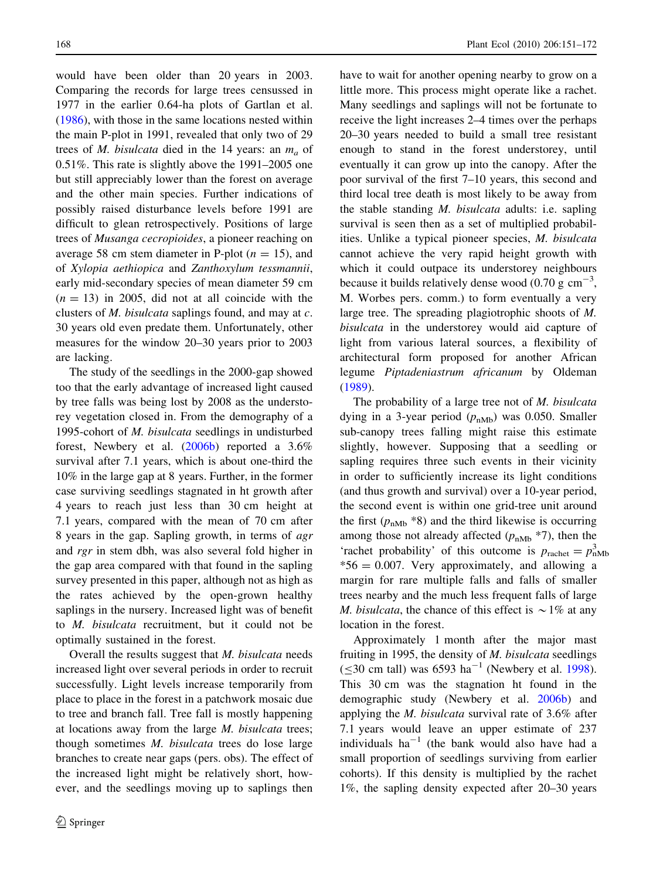would have been older than 20 years in 2003. Comparing the records for large trees censussed in 1977 in the earlier 0.64-ha plots of Gartlan et al. [\(1986](#page-20-0)), with those in the same locations nested within the main P-plot in 1991, revealed that only two of 29 trees of *M. bisulcata* died in the 14 years: an  $m_a$  of 0.51%. This rate is slightly above the 1991–2005 one but still appreciably lower than the forest on average and the other main species. Further indications of possibly raised disturbance levels before 1991 are difficult to glean retrospectively. Positions of large trees of Musanga cecropioides, a pioneer reaching on average 58 cm stem diameter in P-plot  $(n = 15)$ , and of Xylopia aethiopica and Zanthoxylum tessmannii, early mid-secondary species of mean diameter 59 cm  $(n = 13)$  in 2005, did not at all coincide with the clusters of M. bisulcata saplings found, and may at c. 30 years old even predate them. Unfortunately, other measures for the window 20–30 years prior to 2003 are lacking.

The study of the seedlings in the 2000-gap showed too that the early advantage of increased light caused by tree falls was being lost by 2008 as the understorey vegetation closed in. From the demography of a 1995-cohort of M. bisulcata seedlings in undisturbed forest, Newbery et al. [\(2006b](#page-20-0)) reported a 3.6% survival after 7.1 years, which is about one-third the 10% in the large gap at 8 years. Further, in the former case surviving seedlings stagnated in ht growth after 4 years to reach just less than 30 cm height at 7.1 years, compared with the mean of 70 cm after 8 years in the gap. Sapling growth, in terms of agr and rgr in stem dbh, was also several fold higher in the gap area compared with that found in the sapling survey presented in this paper, although not as high as the rates achieved by the open-grown healthy saplings in the nursery. Increased light was of benefit to M. bisulcata recruitment, but it could not be optimally sustained in the forest.

Overall the results suggest that M. bisulcata needs increased light over several periods in order to recruit successfully. Light levels increase temporarily from place to place in the forest in a patchwork mosaic due to tree and branch fall. Tree fall is mostly happening at locations away from the large *M. bisulcata* trees; though sometimes M. bisulcata trees do lose large branches to create near gaps (pers. obs). The effect of the increased light might be relatively short, however, and the seedlings moving up to saplings then have to wait for another opening nearby to grow on a little more. This process might operate like a rachet. Many seedlings and saplings will not be fortunate to receive the light increases 2–4 times over the perhaps 20–30 years needed to build a small tree resistant enough to stand in the forest understorey, until eventually it can grow up into the canopy. After the poor survival of the first 7–10 years, this second and third local tree death is most likely to be away from the stable standing M. bisulcata adults: i.e. sapling survival is seen then as a set of multiplied probabilities. Unlike a typical pioneer species, M. bisulcata cannot achieve the very rapid height growth with which it could outpace its understorey neighbours because it builds relatively dense wood  $(0.70 \text{ g cm}^{-3})$ , M. Worbes pers. comm.) to form eventually a very large tree. The spreading plagiotrophic shoots of M. bisulcata in the understorey would aid capture of light from various lateral sources, a flexibility of architectural form proposed for another African legume Piptadeniastrum africanum by Oldeman [\(1989](#page-21-0)).

The probability of a large tree not of M. bisulcata dying in a 3-year period  $(p_{nMb})$  was 0.050. Smaller sub-canopy trees falling might raise this estimate slightly, however. Supposing that a seedling or sapling requires three such events in their vicinity in order to sufficiently increase its light conditions (and thus growth and survival) over a 10-year period, the second event is within one grid-tree unit around the first  $(p_{nMb} * 8)$  and the third likewise is occurring among those not already affected  $(p_{nMb} * 7)$ , then the 'rachet probability' of this outcome is  $p_{\text{rachet}} = p_{\text{nMb}}^3$  $*56 = 0.007$ . Very approximately, and allowing a margin for rare multiple falls and falls of smaller trees nearby and the much less frequent falls of large M. bisulcata, the chance of this effect is  $\sim$ 1% at any location in the forest.

Approximately 1 month after the major mast fruiting in 1995, the density of M. bisulcata seedlings  $(\leq 30$  cm tall) was 6593 ha<sup>-1</sup> (Newbery et al. [1998](#page-20-0)). This 30 cm was the stagnation ht found in the demographic study (Newbery et al. [2006b\)](#page-20-0) and applying the M. bisulcata survival rate of 3.6% after 7.1 years would leave an upper estimate of 237 individuals  $ha^{-1}$  (the bank would also have had a small proportion of seedlings surviving from earlier cohorts). If this density is multiplied by the rachet 1%, the sapling density expected after 20–30 years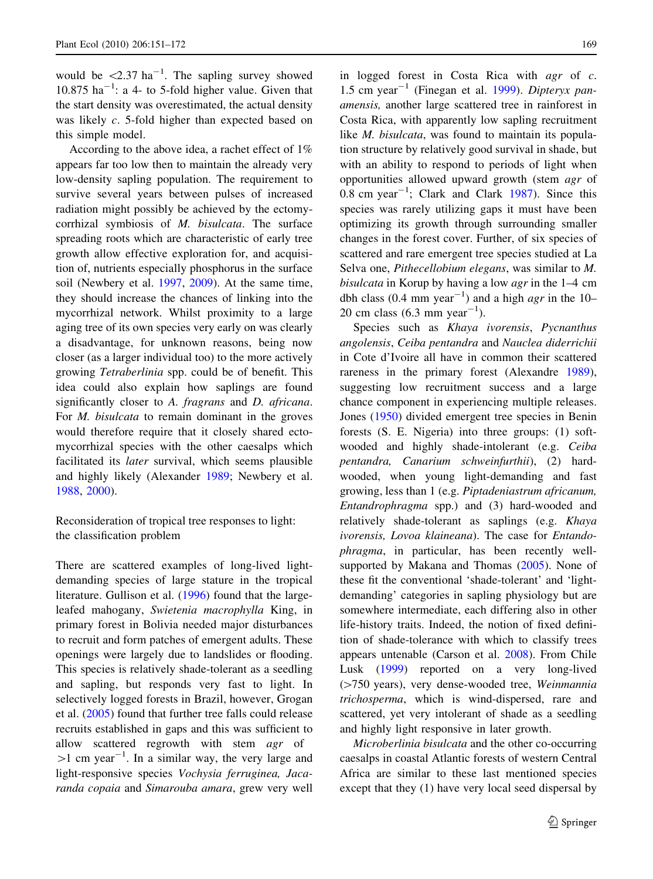would be  $\langle 2.37 \text{ ha}^{-1} \rangle$ . The sapling survey showed  $10.875$  ha<sup>-1</sup>: a 4- to 5-fold higher value. Given that the start density was overestimated, the actual density was likely c. 5-fold higher than expected based on this simple model.

According to the above idea, a rachet effect of 1% appears far too low then to maintain the already very low-density sapling population. The requirement to survive several years between pulses of increased radiation might possibly be achieved by the ectomycorrhizal symbiosis of M. bisulcata. The surface spreading roots which are characteristic of early tree growth allow effective exploration for, and acquisition of, nutrients especially phosphorus in the surface soil (Newbery et al. [1997,](#page-20-0) [2009\)](#page-21-0). At the same time, they should increase the chances of linking into the mycorrhizal network. Whilst proximity to a large aging tree of its own species very early on was clearly a disadvantage, for unknown reasons, being now closer (as a larger individual too) to the more actively growing Tetraberlinia spp. could be of benefit. This idea could also explain how saplings are found significantly closer to A. fragrans and D. africana. For M. bisulcata to remain dominant in the groves would therefore require that it closely shared ectomycorrhizal species with the other caesalps which facilitated its later survival, which seems plausible and highly likely (Alexander [1989](#page-19-0); Newbery et al. [1988,](#page-20-0) [2000\)](#page-20-0).

Reconsideration of tropical tree responses to light: the classification problem

There are scattered examples of long-lived lightdemanding species of large stature in the tropical literature. Gullison et al. ([1996\)](#page-20-0) found that the largeleafed mahogany, Swietenia macrophylla King, in primary forest in Bolivia needed major disturbances to recruit and form patches of emergent adults. These openings were largely due to landslides or flooding. This species is relatively shade-tolerant as a seedling and sapling, but responds very fast to light. In selectively logged forests in Brazil, however, Grogan et al. [\(2005](#page-20-0)) found that further tree falls could release recruits established in gaps and this was sufficient to allow scattered regrowth with stem agr of  $>1$  cm year<sup>-1</sup>. In a similar way, the very large and light-responsive species Vochysia ferruginea, Jacaranda copaia and Simarouba amara, grew very well in logged forest in Costa Rica with agr of c. 1.5 cm year<sup>-1</sup> (Finegan et al. [1999\)](#page-20-0). Dipteryx panamensis, another large scattered tree in rainforest in Costa Rica, with apparently low sapling recruitment like *M. bisulcata*, was found to maintain its population structure by relatively good survival in shade, but with an ability to respond to periods of light when opportunities allowed upward growth (stem agr of  $0.8$  cm year<sup>-1</sup>; Clark and Clark [1987\)](#page-19-0). Since this species was rarely utilizing gaps it must have been optimizing its growth through surrounding smaller changes in the forest cover. Further, of six species of scattered and rare emergent tree species studied at La Selva one, Pithecellobium elegans, was similar to M. bisulcata in Korup by having a low agr in the 1–4 cm dbh class (0.4 mm year<sup>-1</sup>) and a high *agr* in the 10-20 cm class  $(6.3 \text{ mm year}^{-1})$ .

Species such as Khaya ivorensis, Pycnanthus angolensis, Ceiba pentandra and Nauclea diderrichii in Cote d'Ivoire all have in common their scattered rareness in the primary forest (Alexandre [1989](#page-19-0)), suggesting low recruitment success and a large chance component in experiencing multiple releases. Jones ([1950\)](#page-20-0) divided emergent tree species in Benin forests (S. E. Nigeria) into three groups: (1) softwooded and highly shade-intolerant (e.g. Ceiba pentandra, Canarium schweinfurthii), (2) hardwooded, when young light-demanding and fast growing, less than 1 (e.g. Piptadeniastrum africanum, Entandrophragma spp.) and (3) hard-wooded and relatively shade-tolerant as saplings (e.g. Khaya ivorensis, Lovoa klaineana). The case for Entandophragma, in particular, has been recently wellsupported by Makana and Thomas ([2005\)](#page-20-0). None of these fit the conventional 'shade-tolerant' and 'lightdemanding' categories in sapling physiology but are somewhere intermediate, each differing also in other life-history traits. Indeed, the notion of fixed definition of shade-tolerance with which to classify trees appears untenable (Carson et al. [2008](#page-19-0)). From Chile Lusk ([1999](#page-20-0)) reported on a very long-lived (>750 years), very dense-wooded tree, Weinmannia trichosperma, which is wind-dispersed, rare and scattered, yet very intolerant of shade as a seedling and highly light responsive in later growth.

Microberlinia bisulcata and the other co-occurring caesalps in coastal Atlantic forests of western Central Africa are similar to these last mentioned species except that they (1) have very local seed dispersal by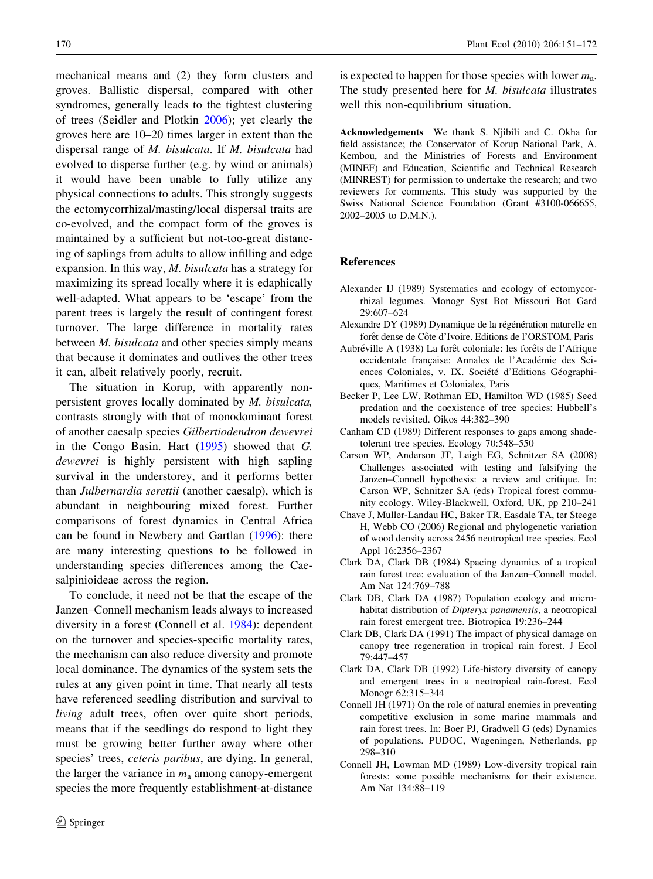<span id="page-19-0"></span>mechanical means and (2) they form clusters and groves. Ballistic dispersal, compared with other syndromes, generally leads to the tightest clustering of trees (Seidler and Plotkin [2006\)](#page-21-0); yet clearly the groves here are 10–20 times larger in extent than the dispersal range of M. bisulcata. If M. bisulcata had evolved to disperse further (e.g. by wind or animals) it would have been unable to fully utilize any physical connections to adults. This strongly suggests the ectomycorrhizal/masting/local dispersal traits are co-evolved, and the compact form of the groves is maintained by a sufficient but not-too-great distancing of saplings from adults to allow infilling and edge expansion. In this way, M. bisulcata has a strategy for maximizing its spread locally where it is edaphically well-adapted. What appears to be 'escape' from the parent trees is largely the result of contingent forest turnover. The large difference in mortality rates between *M. bisulcata* and other species simply means that because it dominates and outlives the other trees it can, albeit relatively poorly, recruit.

The situation in Korup, with apparently nonpersistent groves locally dominated by M. bisulcata, contrasts strongly with that of monodominant forest of another caesalp species Gilbertiodendron dewevrei in the Congo Basin. Hart [\(1995](#page-20-0)) showed that G. dewevrei is highly persistent with high sapling survival in the understorey, and it performs better than Julbernardia serettii (another caesalp), which is abundant in neighbouring mixed forest. Further comparisons of forest dynamics in Central Africa can be found in Newbery and Gartlan [\(1996](#page-20-0)): there are many interesting questions to be followed in understanding species differences among the Caesalpinioideae across the region.

To conclude, it need not be that the escape of the Janzen–Connell mechanism leads always to increased diversity in a forest (Connell et al. [1984\)](#page-20-0): dependent on the turnover and species-specific mortality rates, the mechanism can also reduce diversity and promote local dominance. The dynamics of the system sets the rules at any given point in time. That nearly all tests have referenced seedling distribution and survival to living adult trees, often over quite short periods, means that if the seedlings do respond to light they must be growing better further away where other species' trees, *ceteris paribus*, are dying. In general, the larger the variance in  $m_a$  among canopy-emergent species the more frequently establishment-at-distance

is expected to happen for those species with lower  $m_a$ . The study presented here for M. bisulcata illustrates well this non-equilibrium situation.

Acknowledgements We thank S. Njibili and C. Okha for field assistance; the Conservator of Korup National Park, A. Kembou, and the Ministries of Forests and Environment (MINEF) and Education, Scientific and Technical Research (MINREST) for permission to undertake the research; and two reviewers for comments. This study was supported by the Swiss National Science Foundation (Grant #3100-066655, 2002–2005 to D.M.N.).

## References

- Alexander IJ (1989) Systematics and ecology of ectomycorrhizal legumes. Monogr Syst Bot Missouri Bot Gard 29:607–624
- Alexandre DY (1989) Dynamique de la régénération naturelle en forêt dense de Côte d'Ivoire. Editions de l'ORSTOM, Paris
- Aubréville A (1938) La forêt coloniale: les forêts de l'Afrique occidentale française: Annales de l'Académie des Sciences Coloniales, v. IX. Société d'Editions Géographiques, Maritimes et Coloniales, Paris
- Becker P, Lee LW, Rothman ED, Hamilton WD (1985) Seed predation and the coexistence of tree species: Hubbell's models revisited. Oikos 44:382–390
- Canham CD (1989) Different responses to gaps among shadetolerant tree species. Ecology 70:548–550
- Carson WP, Anderson JT, Leigh EG, Schnitzer SA (2008) Challenges associated with testing and falsifying the Janzen–Connell hypothesis: a review and critique. In: Carson WP, Schnitzer SA (eds) Tropical forest community ecology. Wiley-Blackwell, Oxford, UK, pp 210–241
- Chave J, Muller-Landau HC, Baker TR, Easdale TA, ter Steege H, Webb CO (2006) Regional and phylogenetic variation of wood density across 2456 neotropical tree species. Ecol Appl 16:2356–2367
- Clark DA, Clark DB (1984) Spacing dynamics of a tropical rain forest tree: evaluation of the Janzen–Connell model. Am Nat 124:769–788
- Clark DB, Clark DA (1987) Population ecology and microhabitat distribution of Dipteryx panamensis, a neotropical rain forest emergent tree. Biotropica 19:236–244
- Clark DB, Clark DA (1991) The impact of physical damage on canopy tree regeneration in tropical rain forest. J Ecol 79:447–457
- Clark DA, Clark DB (1992) Life-history diversity of canopy and emergent trees in a neotropical rain-forest. Ecol Monogr 62:315–344
- Connell JH (1971) On the role of natural enemies in preventing competitive exclusion in some marine mammals and rain forest trees. In: Boer PJ, Gradwell G (eds) Dynamics of populations. PUDOC, Wageningen, Netherlands, pp 298–310
- Connell JH, Lowman MD (1989) Low-diversity tropical rain forests: some possible mechanisms for their existence. Am Nat 134:88–119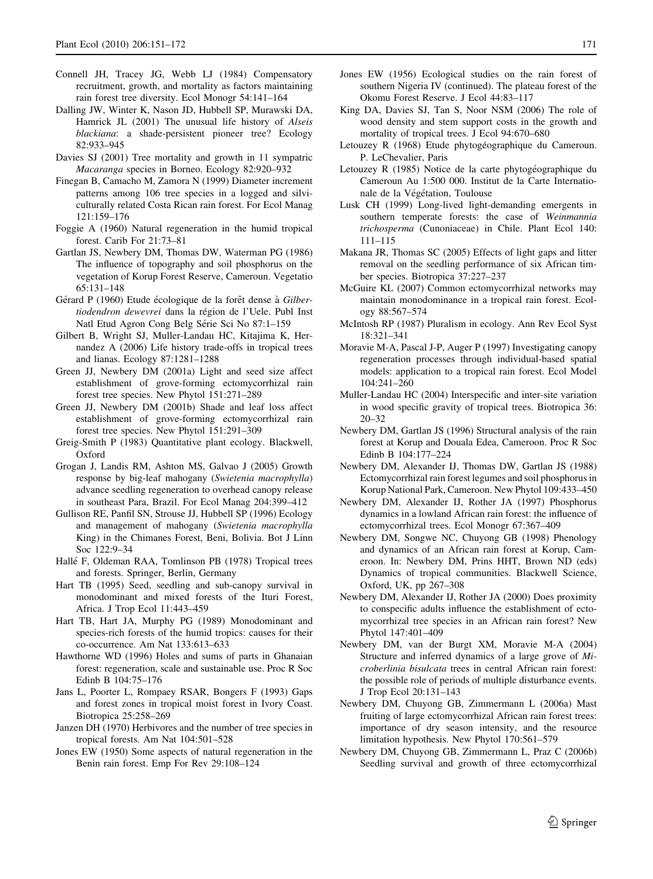- <span id="page-20-0"></span>Connell JH, Tracey JG, Webb LJ (1984) Compensatory recruitment, growth, and mortality as factors maintaining rain forest tree diversity. Ecol Monogr 54:141–164
- Dalling JW, Winter K, Nason JD, Hubbell SP, Murawski DA, Hamrick JL (2001) The unusual life history of Alseis blackiana: a shade-persistent pioneer tree? Ecology 82:933–945
- Davies SJ (2001) Tree mortality and growth in 11 sympatric Macaranga species in Borneo. Ecology 82:920–932
- Finegan B, Camacho M, Zamora N (1999) Diameter increment patterns among 106 tree species in a logged and silviculturally related Costa Rican rain forest. For Ecol Manag 121:159–176
- Foggie A (1960) Natural regeneration in the humid tropical forest. Carib For 21:73–81
- Gartlan JS, Newbery DM, Thomas DW, Waterman PG (1986) The influence of topography and soil phosphorus on the vegetation of Korup Forest Reserve, Cameroun. Vegetatio 65:131–148
- Gérard P (1960) Etude écologique de la forêt dense à Gilbertiodendron dewevrei dans la région de l'Uele. Publ Inst Natl Etud Agron Cong Belg Série Sci No 87:1–159
- Gilbert B, Wright SJ, Muller-Landau HC, Kitajima K, Hernandez A (2006) Life history trade-offs in tropical trees and lianas. Ecology 87:1281–1288
- Green JJ, Newbery DM (2001a) Light and seed size affect establishment of grove-forming ectomycorrhizal rain forest tree species. New Phytol 151:271–289
- Green JJ, Newbery DM (2001b) Shade and leaf loss affect establishment of grove-forming ectomycorrhizal rain forest tree species. New Phytol 151:291–309
- Greig-Smith P (1983) Quantitative plant ecology. Blackwell, Oxford
- Grogan J, Landis RM, Ashton MS, Galvao J (2005) Growth response by big-leaf mahogany (Swietenia macrophylla) advance seedling regeneration to overhead canopy release in southeast Para, Brazil. For Ecol Manag 204:399–412
- Gullison RE, Panfil SN, Strouse JJ, Hubbell SP (1996) Ecology and management of mahogany (Swietenia macrophylla King) in the Chimanes Forest, Beni, Bolivia. Bot J Linn Soc 122:9–34
- Hallé F, Oldeman RAA, Tomlinson PB (1978) Tropical trees and forests. Springer, Berlin, Germany
- Hart TB (1995) Seed, seedling and sub-canopy survival in monodominant and mixed forests of the Ituri Forest, Africa. J Trop Ecol 11:443–459
- Hart TB, Hart JA, Murphy PG (1989) Monodominant and species-rich forests of the humid tropics: causes for their co-occurrence. Am Nat 133:613–633
- Hawthorne WD (1996) Holes and sums of parts in Ghanaian forest: regeneration, scale and sustainable use. Proc R Soc Edinb B 104:75–176
- Jans L, Poorter L, Rompaey RSAR, Bongers F (1993) Gaps and forest zones in tropical moist forest in Ivory Coast. Biotropica 25:258–269
- Janzen DH (1970) Herbivores and the number of tree species in tropical forests. Am Nat 104:501–528
- Jones EW (1950) Some aspects of natural regeneration in the Benin rain forest. Emp For Rev 29:108–124
- Jones EW (1956) Ecological studies on the rain forest of southern Nigeria IV (continued). The plateau forest of the Okomu Forest Reserve. J Ecol 44:83–117
- King DA, Davies SJ, Tan S, Noor NSM (2006) The role of wood density and stem support costs in the growth and mortality of tropical trees. J Ecol 94:670–680
- Letouzey R (1968) Etude phytogéographique du Cameroun. P. LeChevalier, Paris
- Letouzey R (1985) Notice de la carte phytogéographique du Cameroun Au 1:500 000. Institut de la Carte Internationale de la Végétation, Toulouse
- Lusk CH (1999) Long-lived light-demanding emergents in southern temperate forests: the case of Weinmannia trichosperma (Cunoniaceae) in Chile. Plant Ecol 140: 111–115
- Makana JR, Thomas SC (2005) Effects of light gaps and litter removal on the seedling performance of six African timber species. Biotropica 37:227–237
- McGuire KL (2007) Common ectomycorrhizal networks may maintain monodominance in a tropical rain forest. Ecology 88:567–574
- McIntosh RP (1987) Pluralism in ecology. Ann Rev Ecol Syst 18:321–341
- Moravie M-A, Pascal J-P, Auger P (1997) Investigating canopy regeneration processes through individual-based spatial models: application to a tropical rain forest. Ecol Model 104:241–260
- Muller-Landau HC (2004) Interspecific and inter-site variation in wood specific gravity of tropical trees. Biotropica 36: 20–32
- Newbery DM, Gartlan JS (1996) Structural analysis of the rain forest at Korup and Douala Edea, Cameroon. Proc R Soc Edinb B 104:177–224
- Newbery DM, Alexander IJ, Thomas DW, Gartlan JS (1988) Ectomycorrhizal rain forest legumes and soil phosphorus in Korup National Park, Cameroon. New Phytol 109:433–450
- Newbery DM, Alexander IJ, Rother JA (1997) Phosphorus dynamics in a lowland African rain forest: the influence of ectomycorrhizal trees. Ecol Monogr 67:367–409
- Newbery DM, Songwe NC, Chuyong GB (1998) Phenology and dynamics of an African rain forest at Korup, Cameroon. In: Newbery DM, Prins HHT, Brown ND (eds) Dynamics of tropical communities. Blackwell Science, Oxford, UK, pp 267–308
- Newbery DM, Alexander IJ, Rother JA (2000) Does proximity to conspecific adults influence the establishment of ectomycorrhizal tree species in an African rain forest? New Phytol 147:401–409
- Newbery DM, van der Burgt XM, Moravie M-A (2004) Structure and inferred dynamics of a large grove of Microberlinia bisulcata trees in central African rain forest: the possible role of periods of multiple disturbance events. J Trop Ecol 20:131–143
- Newbery DM, Chuyong GB, Zimmermann L (2006a) Mast fruiting of large ectomycorrhizal African rain forest trees: importance of dry season intensity, and the resource limitation hypothesis. New Phytol 170:561–579
- Newbery DM, Chuyong GB, Zimmermann L, Praz C (2006b) Seedling survival and growth of three ectomycorrhizal